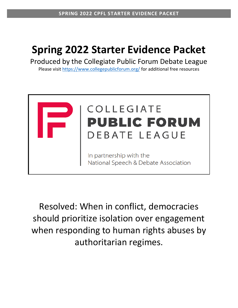# **Spring 2022 Starter Evidence Packet**

Produced by the Collegiate Public Forum Debate League Please visit<https://www.collegepublicforum.org/> for additional free resources



Resolved: When in conflict, democracies should prioritize isolation over engagement when responding to human rights abuses by authoritarian regimes.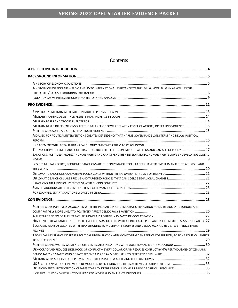# **SPRING 2022 CPFL STARTER EVIDENCE PACKET**

# **Contents**

| A HISTORY OF FOREIGN AID - FROM THE US TO INTERNATIONAL ASSISTANCE TO THE IMF & WORLD BANK AS WELL AS THE                 |  |
|---------------------------------------------------------------------------------------------------------------------------|--|
|                                                                                                                           |  |
|                                                                                                                           |  |
|                                                                                                                           |  |
|                                                                                                                           |  |
|                                                                                                                           |  |
|                                                                                                                           |  |
| MILITARY BASED INTERVENTIONS SHIFT THE BALANCE OF POWER BETWEEN CONFLICT ACTORS, INCREASING VIOLENCE  15                  |  |
|                                                                                                                           |  |
| AID USED FOR POLITICAL INTERVENTIONS CREATES DEPENDENCY THAT HARMS GOVERNANCE LONG TERM AND DELAYS POLITICAL              |  |
|                                                                                                                           |  |
|                                                                                                                           |  |
| THE MAJORITY OF ARMS EMBARGOES HAVE HAD NOTABLE EFFECTS ON IMPORT PATTERNS AND CAN AFFECT POLICY  17                      |  |
| SANCTIONS POSITIVELY PROTECT HUMAN RIGHTS AND CAN STRENGTHEN INTERNATIONAL HUMAN RIGHTS LAWS BY DEVELOPING GLOBAL         |  |
|                                                                                                                           |  |
| BESIDES MILITARY FORCE, ECONOMIC SANCTIONS ARE THE ONLY MAJOR TOOL LEADERS HAVE TO END HUMAN RIGHTS ABUSES - AND          |  |
|                                                                                                                           |  |
|                                                                                                                           |  |
| DIPLOMATIC SANCTIONS ARE PRECISE AND TARGETED POLICIES THAT CAN COERCE BEHAVIORAL CHANGES 21                              |  |
|                                                                                                                           |  |
|                                                                                                                           |  |
|                                                                                                                           |  |
|                                                                                                                           |  |
| FOREIGN AID IS POSITIVELY ASSOCIATED WITH THE PROBABILITY OF DEMOCRATIC TRANSITION - AND DEMOCRATIC DONORS ARE            |  |
|                                                                                                                           |  |
|                                                                                                                           |  |
| HIGH LEVELS OF AID AND CONDITIONED LEVERAGE IS ASSOCIATED WITH AN INCREASED PROBABILITY OF FAILURE RISES SIGNIFICANTLY 27 |  |
| ECONOMIC AID IS ASSOCIATED WITH TRANSITIONING TO MULTIPARTY REGIMES AND DEMOCRACY AID HELPS TO STABILIZE THESE            |  |
|                                                                                                                           |  |
| TECHNICAL ASSISTANCE INCREASES POLITICAL LIBERALIZATION AND MONITORING CAN REDUCE CORRUPTION, FORCING POLITICAL RIGHTS    |  |
|                                                                                                                           |  |
| FOREIGN AID PROMOTES WOMEN'S RIGHTS ESPECIALLY IN NATIONS WITH MORE HUMAN RIGHTS VIOLATIONS  30                           |  |
| DEMOCRACY AID REDUCES LIKELIHOOD OF CONFLICT - EVERY DOLLAR OF AID REDUCES CONFLICT BY 4% PER THOUSAND CITIZENS AND       |  |
|                                                                                                                           |  |
|                                                                                                                           |  |
| US SECURITY ASSISTANCE PREVENTS DEMOCRATIC BACKSLIDING AND HELPS ACHIEVES SECURITY OBJECTIVES  33                         |  |
| DEVELOPMENTAL INTERVENTION CREATES STABILITY IN THE REGION AND HELPS PROVIDE CRITICAL RESOURCES 35                        |  |
|                                                                                                                           |  |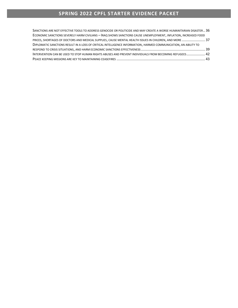# **SPRING 2022 CPFL STARTER EVIDENCE PACKET**

| SANCTIONS ARE NOT EFFECTIVE TOOLS TO ADDRESS GENOCIDE OR POLITICIDE AND MAY CREATE A WORSE HUMANITARIAN DISASTER 36 |  |
|---------------------------------------------------------------------------------------------------------------------|--|
| ECONOMIC SANCTIONS SEVERELY HARM CIVILIANS - IRAQ SHOWS SANCTIONS CAUSE UNEMPLOYMENT, INFLATION, INCREASED FOOD     |  |
| PRICES, SHORTAGES OF DOCTORS AND MEDICAL SUPPLIES, CAUSE MENTAL HEALTH ISSUES IN CHILDREN, AND MORE  37             |  |
| DIPLOMATIC SANCTIONS RESULT IN A LOSS OF CRITICAL INTELLIGENCE INFORMATION, HARMED COMMUNICATION, AN ABILITY TO     |  |
|                                                                                                                     |  |
| INTERVENTION CAN BE USED TO STOP HUMAN RIGHTS ABUSES AND PREVENT INDIVIDUALS FROM BECOMING REFUGEES 42              |  |
|                                                                                                                     |  |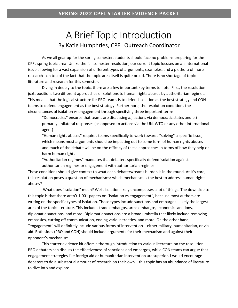# A Brief Topic Introduction By Katie Humphries, CPFL Outreach Coordinator

<span id="page-3-0"></span>As we all gear up for the spring semester, students should face no problems preparing for the CPFL spring topic area! Unlike the fall semester resolution, our current topic focuses on an international issue allowing for a vast expansion of different types of arguments, examples, and a plethora of more research - on top of the fact that the topic area itself is quite broad. There is no shortage of topic literature and research for this semester.

Diving in deeply to the topic, there are a few important key terms to note. First, the resolution juxtapositions two different approaches or solutions to human rights abuses by authoritarian regimes. This means that the logical structure for PRO teams is to defend isolation as the best strategy and CON teams to defend engagement as the best strategy. Furthermore, the resolution conditions the circumstances of isolation vs engagement through specifying three important terms:

- "Democracies" ensures that teams are discussing a.) actions via democratic states and b.) primarily unilateral responses (as opposed to actions via the UN, WTO or any other international agent)
- "Human rights abuses" requires teams specifically to work towards "solving" a specific issue, which means most arguments should be impacting out to some form of human rights abuses and much of the debate will be on the efficacy of these approaches in terms of how they help or harm human rights
- "Authoritarian regimes" mandates that debaters specifically defend isolation against authoritarian regimes or engagement with authoritarian regimes

These conditions should give context to what each debaters/teams burden is in the round. At it's core, this resolution poses a question of mechanisms: which mechanism is the best to address human rights abuses?

What does "isolation" mean? Well, isolation likely encompasses a lot of things. The downside to this topic is that there aren't 1,001 papers on "isolation vs engagement", because most authors are writing on the specific types of isolation. Those types include sanctions and embargos - likely the largest area of the topic literature. This includes trade embargos, arms embargos, economic sanctions, diplomatic sanctions, and more. Diplomatic sanctions are a broad umbrella that likely include removing embassies, cutting off communication, ending various treaties, and more. On the other hand, "engagement" will definitely include various forms of intervention – either military, humanitarian, or via aid. Both sides (PRO and CON) should include arguments for their mechanism and against their opponent's mechanism.

This starter evidence kit offers a thorough introduction to various literature on the resolution. PRO debaters can discuss the effectiveness of sanctions and embargos, while CON teams can argue that engagement strategies like foreign aid or humanitarian intervention are superior. I would encourage debaters to do a substantial amount of research on their own – this topic has an abundance of literature to dive into and explore!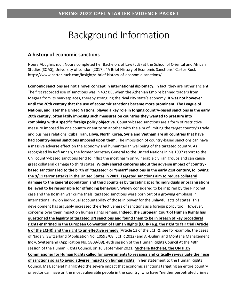# Background Information

#### <span id="page-4-1"></span><span id="page-4-0"></span>**A history of economic sanctions**

Noura Abughris n.d., Noura completed her Bachelors of Law (LLB) at the School of Oriental and African Studies (SOAS), University of London (2017). "A Brief History of Economic Sanctions" Carter-Ruck https://www.carter-ruck.com/insight/a-brief-history-of-economic-sanctions/

**Economic sanctions are not a novel concept in international diplomacy.** In fact, they are rather ancient. The first recorded use of sanctions was in 432 BC, when the Athenian Empire banned traders from Megara from its marketplaces, thereby strangling the rival city state's economy. **It was not however until the 20th century that the use of economic sanctions became more prominent. The League of Nations, and later the United Nations, played a key role in forging country-based sanctions in the early 20th century, often lazily imposing such measures on countries they wanted to pressure into complying with a specific foreign policy objective.** Country-based sanctions are a form of restrictive measure imposed by one country or entity on another with the aim of limiting the target country's trade and business relations. **Cuba, Iran, Libya, North Korea, Syria and Vietnam are all countries that have had country-based sanctions imposed upon them.** The imposition of country-based sanctions can have a massive adverse effect on the economy and humanitarian wellbeing of the targeted country. As recognised by Kofi Annan, the former Secretary General to the United Nations in his 1997 report to the UN, country-based sanctions tend to inflict the most harm on vulnerable civilian groups and can cause great collateral damage to third states**. Widely shared concerns about the adverse impact of countrybased sanctions led to the birth of "targeted" or "smart" sanctions in the early 21st century, following the 9/11 terror attacks in the United States in 2001. Targeted sanctions aim to reduce collateral damage to the general population and third countries by targeting specific individuals or organisations believed to be responsible for offending behaviour.** Widely considered to be inspired by the Pinochet case and the Bosnian war crime trials, targeted sanctions were born out of a growing emphasis in international law on individual accountability of those in power for the unlawful acts of states. This development has arguably increased the effectiveness of sanctions as a foreign policy tool. However, concerns over their impact on human rights remain. **Indeed, the European Court of Human Rights has questioned the legality of targeted UN sanctions and found them to be in breach of key procedural rights enshrined in the European Convention of Human Rights (ECHR) e.g. the right to fair trial (Article 6 of the ECHR) and the right to an effective remedy** (Article 13 of the ECHR); see for example, the cases of Nada v. Switzerland (Application No. 10593/08, ECHR 2012) and Al-Dulimi and Montana Management Inc v. Switzerland (Application No. 5809/08). 48th session of the Human Rights Council At the 48th session of the Human Rights Council, on 16 September 2021, **Michelle Bachelet, the UN High Commissioner for Human Rights called for governments to reassess and critically re-evaluate their use of sanctions so as to avoid adverse impacts on human rights**. In her statement to the Human Rights Council, Ms Bachelet highlighted the severe impact that economic sanctions targeting an entire country or sector can have on the most vulnerable people in the country, who have "neither perpetrated crimes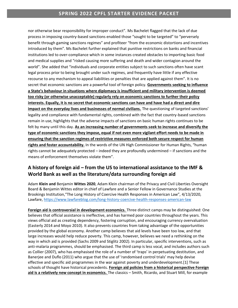nor otherwise bear responsibility for improper conduct". Ms Bachelet flagged that the lack of due process in imposing country-based sanctions enabled those "sought to be targeted" to "perversely benefit through gaming sanctions regimes" and profiteer "from the economic distortions and incentives introduced by them". Ms Bachelet further explained that punitive restrictions on banks and financial institutions led to over-compliance which in some instances created obstacles to importing basic food and medical supplies and "risked causing more suffering and death and wider contagion around the world". She added that "individuals and corporate entities subject to such sanctions often have scant legal process prior to being brought under such regimes, and frequently have little if any effective recourse to any mechanism to appeal liabilities or penalties that are applied against them". It is no secret that economic sanctions are a powerful tool of foreign policy. **Governments seeking to influence a State's behaviour in situations where diplomacy is insufficient and military intervention is deemed too risky (or otherwise unacceptable) regularly rely on economic sanctions to further their policy interests. Equally, it is no secret that economic sanctions can have and have had a direct and dire impact on the everyday lives and businesses of normal civilians.** The questioning of targeted sanctions' legality and compliance with fundamental rights, combined with the fact that country-based sanctions remain in use, highlights that the adverse impacts of sanctions on basic human rights continues to be felt by many until this day. **As an increasing number of governments seek to increase and diversify the type of economic sanctions they impose, equal if not even more vigilant effort needs to be made in ensuring that the sanction regimes of restrictive measures enforced both secure respect for human rights and foster accountability.** In the words of the UN High Commissioner for Human Rights, "human rights cannot be adequately protected – indeed they are profoundly undermined – if sanctions and the means of enforcement themselves violate them".

# <span id="page-5-0"></span>**A history of foreign aid – from the US to international assistance to the IMF & World Bank as well as the literature/data surrounding foreign aid**

Adam **Klein and** Benjamin **Wittes 2020**, Adam Klein chairman of the Privacy and Civil Liberties Oversight Board & Benjamin Wittes editor in chief of Lawfare and a Senior Fellow in Governance Studies at the Brookings Institution,"The Long History of Coercive Health Responses in American Law", 4/13/2020, Lawfare,<https://www.lawfareblog.com/long-history-coercive-health-responses-american-law>

**Foreign aid is controversial in development economics.** Three distinct camps may be distinguished: One believes that official assistance is ineffective, and has harmed poor countries throughout the years. This views official aid as creating dependency, fostering corruption, and encouraging currency overvaluation (Easterly 2014 and Moyo 2010). It also prevents countries from taking advantage of the opportunities provided by the global economy. Another camp believes that aid levels have been too low, and that large increases would help reduce poverty. This camp, however, believes we need a rethinking on the way in which aid is provided (Sachs 2009 and Stiglitz 2002). In particular, specific interventions, such as anti-malaria programmes, should be emphasised. The third camp is less vocal, and includes authors such as Collier (2007), who has emphasised the role of a number of 'traps' in perpetuating destitution, and Banerjee and Duflo (2011) who argue that the use of 'randomised control trials' may help devise effective and specific aid programmes in the war against poverty and underdevelopment.[1] These schools of thought have historical precedents. **Foreign aid policies from a historical perspective Foreign aid is a relatively new concept in economics.** The classics – Smith, Ricardo, and Stuart Mill, for example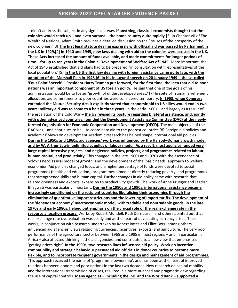– didn't address the subject in any significant way**. If anything, classical economists thought that the colonies would catch up – and even surpass – the home country quite rapidly**.[2] In Chapter VII of The Wealth of Nations, Adam Smith provides a detailed discussion on the "causes of the prosperity of the new colonies."[3] **The first legal statute dealing expressly with official aid was passed by Parliament in the UK in 1929.[4] In 1940 and 1945, new laws dealing with aid to the colonies were passed in the UK. These Acts increased the amount of funds available, and made commitments for longer periods of time – for up to ten years in the Colonial Development and Welfare Act of 1945.** More important, the Act of 1945 established that aid plans had to be prepared "in consultation with representatives of the local population."[5] **In the US the first law dealing with foreign assistance came quite late, with the adoption of the Marshall Plan in 1948.[6] In his inaugural speech on 20 January 1949 – the so-called 'Four Point Speech' – President Harry Truman put forward, for the first time, the idea that aid to poor nations was an important component of US foreign policy.** He said that one of the goals of his administration would be to foster "growth of underdeveloped areas."[7] In spite of Truman's vehement allocution, aid commitments to poor countries were considered temporary. **In 1953, when Congress extended the Mutual Security Act, it explicitly stated that economic aid to US allies would end in two years; military aid was to come to a halt in three years**. In the early 1960s – and largely as a result of the escalation of the Cold War – **the US revised its posture regarding bilateral assistance, and, jointly with other advanced countries, founded the Development Assistance Committee (DAC) at the newly formed Organisation for Economic Cooperation and Development (OECD).** The main objective of the DAC was – and continues to be – to coordinate aid to the poorest countries.[8] Foreign aid policies and academics' views on development Academic research has helped shape international aid policies. **During the 1950s and 1960s, aid agencies' work was influenced by the Harrod–Domar growth model and by W. Arthur Lewis' unlimited supplies of labour model. As a result, most agencies funded very large capital-intensive projects, and neglected policies, projects, and programmes related to labour, human capital, and productivity.** This changed in the late 1960s and 1970s with the ascendance of Solow's neoclassical model of growth, and the development of the 'basic needs' approach to welfare economics. Aid policies changed focus, and a higher percentage of funds were devoted to social programmes (health and education), programmes aimed at directly reducing poverty, and programmes that strengthened skills and human capital. Further changes in aid policy came with research that related openness and exports' expansion to productivity growth. The work of Anne Krueger and Jagdish Bhagwati was particularly important. **During the 1980s and 1990s, international assistance became increasingly conditioned on the recipient countries liberalising their economies through the elimination of quantitative import restrictions and the lowering of import tariffs. The development of the 'dependent economy' macroeconomic model, with tradable and nontradable goods, in the late 1970s and early 1980s, helped put emphasis on the crucial role of the real exchange rate in the resource allocation process.** Works by Robert Mundell, Rudi Dornbusch, and others pointed out that real exchange rate overvaluation was costly and at the heart of devastating currency crises. These works, in conjunction with research undertaken by Robert Bates and Elliot Berg, among others, influenced aid agencies' views regarding currencies, incentives, exports, and agriculture. The very poor performance of the agricultural sector between 1965 and 1985 in most regions – and in particular in Africa – also affected thinking in the aid agencies, and contributed to a new view that emphasised 'getting prices right'. **In the 1990s, two research lines influenced aid policy. Work on incentive compatibility and strategic behaviour persuaded aid officials in donor countries to become more flexible, and to incorporate recipient governments in the design and management of aid programmes.**  This approach received the name of 'programme ownership', and has been at the heart of improved relations between donors and poor nations in the last two decades. New research on capital mobility and the international transmission of crises, resulted in a more nuanced and pragmatic view regarding the use of capital controls. **Many agencies – including the IMF and the World Bank – supported a**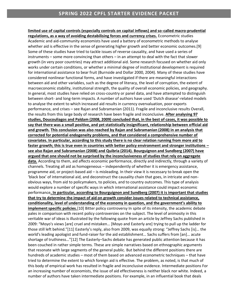**limited use of capital controls (especially controls on capital inflows) and so-called macro-prudential regulations, as a way of avoiding destabilising forces and currency crises.** Econometric studies Academic and aid-community economists have used a battery of econometric methods to analyse whether aid is effective in the sense of generating higher growth and better economic outcomes.[9] Some of these studies have tried to tackle issues of reverse causality, and have used a series of instruments – some more convincing than others – in an attempt to deal with the fact that slower growth (in very poor countries) may attract additional aid. Some research focused on whether aid only works under certain conditions, or whether a minimal degree of institutional development is required for international assistance to bear fruit (Burnside and Dollar 2000, 2004). Many of these studies have considered nonlinear functional forms, and have investigated if there are meaningful interactions between aid and other variables, such as the degree of literacy, the level of corruption, the extent of macroeconomic stability, institutional strength, the quality of overall economic policies, and geography. In general, most studies have relied on cross-country or panel data, and have attempted to distinguish between short- and long-term impacts. A number of authors have used 'Dutch disease'-related models to analyse the extent to which increased aid results in currency overvaluation, poor exports performance, and crises – see Rajan and Subramanian (2011). Fragile and inconclusive results Overall, the results from this large body of research have been fragile and inconclusive. **After analysing 97 studies, Doucouliagos and Paldam (2008, 2009) concluded that, in the best of cases, it was possible to say that there was a small positive, and yet statistically insignificant, relationship between official aid and growth. This conclusion was also reached by Rajan and Subramanian (2008) in an analysis that corrected for potential endogeneity problems, and that considered a comprehensive number of covariates. In particular, according to this study there is no clear relation running from more aid to faster growth; this is true even in countries with better policy environment and stronger institutions – see also Rajan and Subramanian (2008) and Quibria (2014). Bourguignon and Sundberg (2007) have argued that one should not be surprised by the inconclusiveness of studies that rely on aggregate data.** According to them, aid affects economic performance, directly and indirectly, through a variety of channels. Treating all aid as homogeneous – independently of whether it is emergency assistance, programme aid, or project-based aid – is misleading. In their view it is necessary to break open the 'black box' of international aid, and deconstruct the causality chain that goes, in intricate and nonobvious ways, from aid to policymakers, to policies, and to country outcomes. This type of analysis would explore a number of specific ways in which international assistance could impact economic performance**. In particular, according to Bourguignon and Sundberg (2007) it is important that studies that try to determine the impact of aid on growth consider issues related to technical assistance, conditionality, level of understanding of the economy in question, and the government's ability to implement specific policies.**[10] Bitter policy controversy In spite of its intensity, the academic debate pales in comparison with recent policy controversies on the subject. The level of animosity in this veritable war of ideas is illustrated by the following quote from an article by Jeffrey Sachs published in 2009: "Moyo's views [are] cruel and mistaken… [Moyo and Easterly are] trying to pull up the ladder for those still left behind."[11] Easterly's reply, also from 2009, was equally strong: "Jeffrey Sachs [is]… the world's leading apologist and fund-raiser for the aid establishment… Sachs suffers from [an]… acute shortage of truthiness…"[12] The Easterly–Sachs debate has generated public attention because it has been couched in rather simple terms. These are simple narratives based on ethnographic arguments that resonate with large segments of the general public. But behind the different positions there are hundreds of academic studies – most of them based on advanced econometric techniques – that have tried to determine the extent to which foreign aid is effective. The problem, as noted, is that much of this body of empirical work has resulted in fragile and inconclusive evidence. Intermediate positions For an increasing number of economists, the issue of aid effectiveness is neither black nor white. Indeed, a number of authors have taken intermediate positions. For example, in an influential book that deals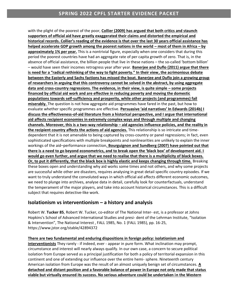with the plight of the poorest of the poor, **Collier (2009) has argued that both critics and staunch supporters of official aid have greatly exaggerated their claims and distorted the empirical and historical records. Collier's reading of the evidence is that over the last 30 years official assistance has helped accelerate GDP growth among the poorest nations in the world – most of them in Africa – by approximately 1% per year.** This is a nontrivial figure, especially when one considers that during this period the poorest countries have had an aggregate rate of per capita growth of zero. That is, in the absence of official assistance, the billion people that live in these nations – the so-called 'bottom billion' – would have seen their incomes retrogress year after year. **Banerjee and Duflo (2011) argue that there is need for a "radical rethinking of the way to fight poverty." In their view, the acrimonious debate between the Easterly and Sachs factions has missed the boat. Banerjee and Duflo join a growing group of researchers in arguing that this controversy cannot be solved in the abstract, by using aggregate data and cross-country regressions. The evidence, in their view, is quite simple – some projects financed by official aid work and are effective in reducing poverty and moving the domestic populations towards self-sufficiency and prosperity, while other projects (and programmes) fail miserably.** The question is not how aggregate aid programmes have fared in the past, but how to evaluate whether specific programmes are effective. **Persuasive 'aid narratives' In Edwards (2014b) I discuss the effectiveness-of-aid literature from a historical perspective, and I argue that international aid affects recipient economies in extremely complex ways and through multiple and changing channels. Moreover, this is a two-way relationship – aid agencies influence policies, and the reality in the recipient country affects the actions of aid agencies.** This relationship is so intricate and timedependent that it is not amenable to being captured by cross-country or panel regressions; in fact, even sophisticated specifications with multiple breakpoints and nonlinearities are unlikely to explain the inner workings of the aid–performance connection**. Bourguignon and Sundberg (2007) have pointed out that there is a need to go beyond econometrics, and to break open the 'black box' of development aid. I would go even further, and argue that we need to realise that there is a multiplicity of black boxes. Or, to put it differently, that the black box is highly elastic and keeps changing through time.** Breaking these boxes open and understanding why aid works some times and not others, and why some projects are successful while other are disasters, requires analysing in great detail specific country episodes. If we want to truly understand the convoluted ways in which official aid affects different economic outcomes, we need to plunge into archives, analyse data in detail, carefully look for counterfactuals, understand the temperament of the major players, and take into account historical circumstances. This is a difficult subject that requires detective-like work.

#### <span id="page-8-0"></span>**Isolationism vs interventionism – a history and analysis**

Robert W. **Tucker 85**, Robert W. Tucker, co-editor of The National Inter- est, is a professor at Johns Hopkins's School of Advanced International Studies and presi- dent of the Lehrman Institute, "Isolation & Intervention", The National Interest , FALL 1985, No. 1 (FALL 1985), pp. 16-25, https://www.jstor.org/stable/42894372

**There are two fundamental and enduring dispositions in foreign policy: isolationism and interventionists** They rarely - if indeed, ever - appear in pure form. What inclination may prompt, circumstance and interest will nearly always qualify. In our own case, a concern to secure political isolation from Europe served as a principal justification for both a policy of territorial expansion in this continent and one of extending our influence over the entire hemi- sphere. Nineteenth century American isolation from Europe was the result of an almost uniquely benign set of circumstances. **A detached and distant position and a favorable balance of power in Europe not only made that status viable but virtually ensured its success. No serious adventure could be undertaken in the Western**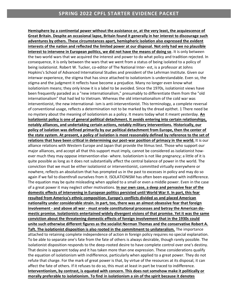**Hemisphere by a continental power without the assistance or, at the very least, the acquiescence of Great Britain. Despite an occasional lapse, Britain found it generally in her interest to discourage such adventures by others. These circumstances apart, hemispheric isolation also expressed the evident interests of the nation and reflected the limited power at our disposal. Not only had we no plausible interest to intervene in European politics, we did not have the means of doing so**. It is only between the two world wars that we acquired the interest and power to do what policy and tradition rejected. In consequence, it is only between the wars that we went from a status of being isolated to a policy of being isolationist. Robert W. Tucker, co-editor of The National Inter- est, is a professor at Johns Hopkins's School of Advanced International Studies and president of the Lehrman Institute. Given our interwar experience, the stigma that has since attached to isolationism is understandable. Even so, the stigma and the judgment it reflects have become a prejudice. Many no longer even know what isolationism means; they only know it is a label to be avoided. Since the 1970s, isolationist views have been frequently paraded as a "new internationalism," presumably to differentiate them from the "old internationalism" that had led to Vietnam. Whereas the old internationalism of the cold war was interventionist, the new international- ism is anti-interventionist. This terminology, a complete reversal of conventional usage, reflects a determination not to be marked by the dread epithet. 1 There need be no mystery about the meaning of isolationism as a policy. It means today what it meant yesterday. **An isolationist policy is one of general political detachment. It avoids entering into certain relationships, notably alliances, and undertaking certain actions, notably military interventions. Historically, our policy of isolation was defined primarily by our political detachment from Europe, then the center of the state system. At present, a policy of isolation is most reasonably defined by reference to the set of relations that have been critical in determining our post-war position of primacy in the world.** It is our alliance relations with Western Europe and Japan that provide the litmus test. Those who support our major alliances, and accept all that this support must imply, cannot be considered as isolationist however much they may oppose intervention else- where. Isolationism is not like pregnancy; a little of it is quite possible as long as it does not substantially affect the central balance of power in the world. The conviction that we must be either isolationist or interventionist, committed virtually everywhere or nowhere, reflects an absolutism that has prompted us in the past to excesses in policy and may do so again if we fail to disenthrall ourselves from it. ISOLATIONISM has often been equated with indifference. The equation may be quite misleading when applied to a small or even a middle power. Even in the case of a great power it may neglect other motivations. **In our own case, a deep and pervasive fear of the domestic effects of intervening in European politics persisted until World War II. In part, this fear resulted from America's ethnic composition. Europe's conflicts divided us and placed American nationality under considerable strain. In part, too, there was an almost obsessive fear that foreign involvement - and above all war - must erode constitutional processes and betray the American domestic promise. Isolationists entertained widely divergent visions of that promise. Yet it was the same conviction about the threatening domestic effects of foreign involvement that in the 1930s could unite such otherwise different figures as the socialist Norman Thomas and the conservative Robert A. Taft. The isolationist disposition is also rooted in the commitment to unilateralism.** The importance attached to retaining complete independence of action in foreign policy requires no special explanation. To be able to separate one's fate from the fate of others is always desirable, though rarely possible. The isolationist disposition responds to the deep-rooted desire to have complete control over one's destiny. That desire is apparent today and it has taken more than one expression. These considerations qualify the equation of isolationism with indifference, particularly when applied to a great power. They do not refute that charge. For the mark of great power is that, by virtue of the resources at its disposal, it can affect the fate of others. If it refuses to do so, this must at least in part be traced to indifference. **Interventionism, by contrast, is equated with concern. This does not somehow make it politically or morally preferable to isolationism. To find in isolationism a sin of the spirit because it denotes**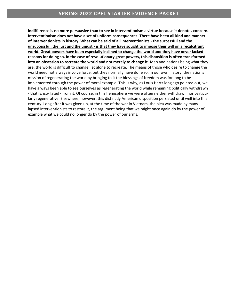**indifference is no more persuasive than to see in interventionism a virtue because it denotes concern. Interventionism does not have a set of uniform consequences. There have been all kind and manner of interventionists in history. What can be said of all interventionists - the successful and the unsuccessful, the just and the unjust - is that they have sought to impose their will on a recalcitrant world. Great powers have been especially inclined to change the world and they have never lacked reasons for doing so. In the case of revolutionary great powers, this disposition is often transformed**  into an obsession to recreate the world and not merely to change it. Men and nations being what they are, the world is difficult to change, let alone to recreate. The means of those who desire to change the world need not always involve force, but they normally have done so. In our own history, the nation's mission of regenerating the world by bringing to it the blessings of freedom was for long to be implemented through the power of moral example. This is why, as Louis Hartz long ago pointed out, we have always been able to see ourselves as regenerating the world while remaining politically withdrawn - that is, iso- lated - from it. Of course, in this hemisphere we were often neither withdrawn nor particularly regenerative. Elsewhere, however, this distinctly American disposition persisted until well into this century. Long after it was given up, at the time of the war in Vietnam, the plea was made by many lapsed interventionists to restore it, the argument being that we might once again do by the power of example what we could no longer do by the power of our arms.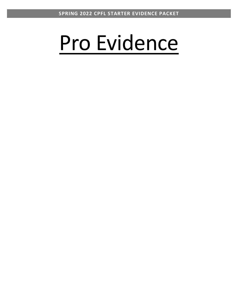# <span id="page-11-0"></span>Pro Evidence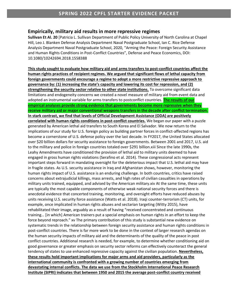#### <span id="page-12-0"></span>**Empirically, military aid results in more repressive regimes**

**Sullivan Et Al. 20** [Patricia L. Sullivan Department of Public Policy University of North Carolina at Chapel Hill, Leo J. Blanken Defense Analysis Department Naval Postgraduate School, Ian C. Rice Defense Analysis Department Naval Postgraduate School, 2020, "Arming the Peace: Foreign Security Assistance and Human Rights Conditions in Post-Conflict Countries", Defense and Peace Economics, DOI: 10.1080/10242694.2018.1558388

**This study sought to evaluate how military aid and arms transfers to post-conflict countries affect the human rights practices of recipient regimes. We argued that significant flows of lethal capacity from foreign governments could encourage a regime to adopt a more restrictive repressive approach to governance by: (1) increasing the state's capacity and lowering its cost for repression, and (2) strengthening the security sector relative to other state institutions.** To overcome significant data limitations and endogeneity concerns we created a novel measure of military aid from event data and adopted an instrumental variable for arms transfers to postconflict countries. **The results of our empirical analyses provide strong evidence that governments become more repressive when they receive military aid or major conventional weapons transfers in the decade after conflict termination. In stark contrast, we find that levels of Official Development Assistance (ODA) are positively correlated with human rights conditions in post-conflict countries.** We began our paper with a puzzle generated by American lethal aid transfers to South Korea and El Salvador. We now return to the implications of our study for U.S. foreign policy as building partner forces in conflict-affected regions has become a cornerstone of U.S. defense policy over the last decade. In FY2017, the United States allocated over \$20 billion dollars for security assistance to foreign governments. Between 2001 and 2017, U.S. aid to the military and police in foreign countries totaled over \$291 billion.xiii Since the late 1990s, the Leahy Amendments have conditioned the provision of lethal aid to military units deemed to have engaged in gross human rights violations (Serafino et al. 2014). These congressional acts represent important steps forward in mandating oversight for the deleterious impact that U.S. lethal aid may have in fragile states. As U.S. security assistance in Iraq and Afghanistan shows, however, monitoring the human rights impact of U.S. assistance is an enduring challenge. In both countries, critics have raised concerns about extrajudicial killings, mass arrests, and high rates of civilian casualties in operations by military units trained, equipped, and advised by the American military.xiv At the same time, these units are typically the most capable components of otherwise weak national security forces and there is anecdotal evidence that concerted training, monitoring, and oversight efforts have reduced abuses by units receiving U.S. security force assistance (Watts et al. 2018). Iraqi counter-terrorism (CT) units, for example, once implicated in human rights abuses and sectarian targeting (Witty 2015), have rehabilitated their image, arguably as a result of having "received concentrated and continuous training… [in which] American trainers put a special emphasis on human rights in an effort to keep the force beyond reproach." xv The primary contribution of this study is substantial new evidence on systematic trends in the relationship between foreign security assistance and human rights conditions in post-conflict countries. There is far more work to be done in the context of larger research agendas on the human security impacts of military aid and the determinants of the quality of the peace in post conflict countries. Additional research is needed, for example, to determine whether conditioning aid on good governance or greater emphasis on security sector reforms can effectively counteract the general tendency of states to use enhanced repressive capacity against the civilian population. **Nevertheless, these results hold important implications for major arms and aid providers, particularly as the international community is confronted with a growing number of countries emerging from devastating internal conflicts. The data we use from the Stockholm International Peace Research Institute (SIPRI) indicates that between 1950 and 2015 the average post-conflict country received**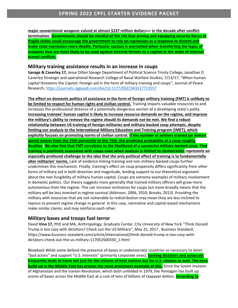**major conventional weapons valued at almost \$237 million dollars**xvi **in the decade after conflict termination. Governments should be mindful of the risk that arming and equipping security forces in fragile states could encourage the government to rely on repression as a response to dissent and make state repression more deadly. Particular caution is warranted when transferring the types of weapons that are most likely to be used against internal threats to a regime in the wake of internal armed conflicts.**

#### <span id="page-13-0"></span>**Military training assistance results in an increase in coups**

**Savage & Caverley 17,** Jesse Dillon Savage Department of Political Science Trinity College, Jonathan D Caverley Strategic and operational Research College of Naval Warfare Studies, 7/13/17, "When human capital threatens the Capitol: Foreign aid in the form of military training and coups", Journal of Peace Research,<https://journals.sagepub.com/doi/10.1177/0022343317713557>

**The effect on domestic politics of assistance in the form of foreign military training (FMT) is unlikely to be limited to respect for human rights and civilian control.** Training imparts valuable resources to and increases the professional distance of a potentially dangerous section of a developing state's polity. **Increasing trainees' human capital is likely to increase resource demands on the regime, and improve the military's ability to remove the regime should its demands not be met. We find a robust relationship between US training of foreign militaries and military-backed coup attempts, despite limiting our analysis to the International Military Education and Training program (IMET), which explicitly focuses on promoting norms of civilian control. If the number of soldiers trained (or dollars spent) moves from the 25th percentile to the 75th, the predicted probability of a coup roughly doubles. We also find that FMT correlates to the likelihood of a successful military-backed coup. That training is positively associated with coups even when analysis is limited to democracies represents an especially profound challenge to the idea that the only political effect of training is to fundamentally alter militaries' norms.** Lack of evidence linking training and non-military-backed coups further undermines this mechanism. Finally, training's effect on coup propensity differs significantly from other forms of military aid in both direction and magnitude, lending support to our theoretical argument about the non-fungibility of military human capital. Coups are extreme examples of military involvement in domestic politics. Our theory suggests more generally that trained military officers will grow more autonomous from the regime. This can increase inclination for coups but more broadly means that the military will be less invested in regime survival (Atkinson, 2006, 2010; Brooks, 2013). Providing the military with resources that are not vulnerable to redistribution may mean they are less inclined to repress to prevent regime change in general. In this case, normative and capital-based mechanisms make similar claims, and may reinforce each other.

#### <span id="page-13-1"></span>**Military bases and troops fuel terror**

David **Vine 17,** PhD and MA, Anthropology, Graduate Center, City University of New York "Think Donald Trump is too cozy with dictators? Check out the US Military", May 25, 2017 , Business Standard, https://www.business-standard.com/article/international/think-donald-trump-is-too-cozy-withdictators-check-out-the-us-military-117052500330\_1.html

Blowback While some defend the presence of bases in undemocratic countries as necessary to deter "bad actors" and support "U.S. interests" (primarily corporate ones), **backing dictators and autocrats frequently leads to harm not just for the citizens of host nations but for U.S. citizens as well. The base build-up in the Middle East has proven the most prominent example of this.** Since the Soviet invasion of Afghanistan and the Iranian Revolution, which both unfolded in 1979, the Pentagon has built up scores of bases across the Middle East at a cost of tens of billions of taxpayer dollars. **According to**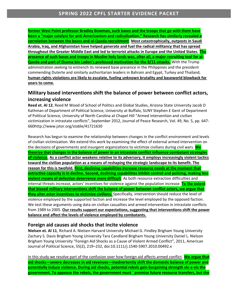**former West Point professor Bradley Bowman, such bases and the troops that go with them have been a "major catalyst for anti-Americanism and radicalization." Research has similarly revealed a correlation between the bases and al-Qaeda recruitment**. **Most catastrophically, outposts in Saudi Arabia, Iraq, and Afghanistan have helped generate and fuel the radical militancy that has spread throughout the Greater Middle East and led to terrorist attacks in Europe and the United States. The presence of such bases and troops in Muslim holy lands was, after all, a major recruiting tool for al-Qaeda and part of Osama bin Laden's professed motivation for the 9/11 attacks.** With the Trump administration seeking to entrench its renewed base presence in the Philippines and the president commending Duterte and similarly authoritarian leaders in Bahrain and Egypt, Turkey and Thailand, **human rights violations are likely to escalate, fueling unknown brutality and baseworld blowback for years to come.**

# <span id="page-14-0"></span>**Military based interventions shift the balance of power between conflict actors, increasing violence**

**Reed et. Al 12**, Reed M Wood of School of Politics and Global Studies, Arizona State University Jacob D Kathman of Department of Political Science, University at Buffalo, SUNY Stephen £ Gent of Department of Political Science, University of North Carolina at Chapel Hill "Armed intervention and civilian victimization in intrastate conflicts", September 2012, Journal of Peace Research, Vol. 49, No. 5, pp. 647- 660http://www.jstor.org/stable/41721630

Research has begun to examine the relationship between changes in the conflict environment and levels of civilian victimization. We extend this work by examining the effect of external armed intervention on the decisions of governments and insurgent organizations to victimize civilians during civil wars. **We theorize that changes in the balance of power in an intrastate conflict influence combatant strategies of violence. As a conflict actor weakens relative to its adversary, it employs increasingly violent tactics toward the civilian population as a means of reshaping the strategic landscape to its benefit. The reason for this is twofold. First, declining capabilities increase resource needs at the moment that extractive capacity is in decline. Second, declining capabilities inhibit control and policing, making less violent means of defection deterrence more difficult**. As both resource extraction difficulties and internal threats increase, actors' incentives for violence against the population increase. **To the extent that biased military interventions shift the balance of power between conflict actors, we argue that they alter actor incentives to victimize civilians.** Specifically, intervention should reduce the level of violence employed by the supported faction and increase the level employed by the opposed faction. We test these arguments using data on civilian casualties and armed intervention in intrastate conflicts from 1989 to 2005. **Our results support our expectations, suggesting that interventions shift the power balance and affect the levels of violence employed by combatants.**

#### <span id="page-14-1"></span>**Foreign aid causes aid shocks that incite violence**

**Nielsen et. Al 11**, Richard A. Nielsen Harvard University Michael G. Findley Brigham Young University Zachary S. Davis Brigham Young University Tara Candland Brigham Young University Daniel L. Nielson Brigham Young University "Foreign Aid Shocks as a Cause of Violent Armed Conflict", 2011, American Journal of Political Science, 55(2), 219–232, doi:10.1111/j.1540-5907.2010.00492.x

In this study we resolve part of the confusion over how foreign aid affects armed conflict. **We argue that aid shocks—severe decreases in aid revenues—inadvertently shift the domestic balance of power and potentially induce violence. During aid shocks, potential rebels gain bargaining strength vis-a-vis the government. To appease the rebels, the government must ` promise future resource transfers, but the**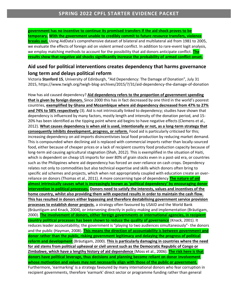**government has no incentive to continue its promised transfers if the aid shock proves to be temporary. With the government unable to credibly commit to future resource transfers, violence breaks out.** Using AidData's comprehensive dataset of bilateral and multilateral aid from 1981 to 2005, we evaluate the effects of foreign aid on violent armed conflict. In addition to rare-event logit analysis, we employ matching methods to account for the possibility that aid donors anticipate conflict. **The results show that negative aid shocks significantly increase the probability of armed conflict onset.**

#### <span id="page-15-0"></span>**Aid used for political interventions creates dependency that harms governance long term and delays political reform**

Victoria **Stanford 15**, University of Edinburgh, "Aid Dependency: The Damage of Donation", July 31 2015, https://www.twigh.org/twigh-blog-archives/2015/7/31/aid-dependency-the-damage-of-donation

How has aid caused dependency? **Aid dependency refers to the proportion of government spending that is given by foreign donors.** Since 2000 this has in fact decreased by one third in the world's poorest countries, **exemplified by Ghana and Mozambique where aid dependency decreased from 47% to 27% and 74% to 58% respectively** (3). Aid is not intrinsically linked to dependency; studies have shown that dependency is influenced by many factors, mostly length and intensity of the donation period, and 15- 20% has been identified as the tipping point where aid begins to have negative effects (Clemens et al., 2012). **What causes dependency is when aid is used, intentionally or not, as a long-term strategy that consequently inhibits development, progress, or reform.** Food aid is particularly criticised for this; increasing dependency on aid imports disincentivises local food production by reducing market demand. This is compounded when declining aid is replaced with commercial imports rather than locally-sourced food, either because of cheaper prices or a lack of recipient country food production capacity because of long-term aid causing agricultural stagnation (Shah, 2012). This is exemplified in the situation of Haiti, which is dependent on cheap US imports for over 80% of grain stocks even in a post-aid era, or countries such as the Philippines where aid dependency has forced an over-reliance on cash crops. Dependency relates not only to commodities but also technical expertise and skills which donors often bring to specific aid schemes and projects, which when not appropriately coupled with education create an overreliance on donors (Thomas et al., 2011). A more concerning type of dependency **The nature of aid almost intrinsically causes what is increasingly known as 'political dependency' by encouraging donor intervention in political processes. Donors need to satisfy the interests, values and incentives of the home country, whilst also providing them with expected results in order to maintain the cash flow. This has resulted in donors either bypassing and therefore destabilising government service provision processes to establish donor projects**, a strategy often favoured by USAID and the World Bank (Bräuntigam and Knack, 2004), or intervening directly in policy-making and implementation (Bräutigam, 2000). **The involvement of donors, either foreign governments or international agencies, in recipient country political processes has been shown to reduce the quality of governance** (Knack, 2001). It reduces leader accountability; the government is "playing to two audiences simultaneously"- the donors and the public (Hayman, 2008). **This means the direction of accountability is between government and donor rather than the public, risking government legitimacy and delaying the progress of political reform and development** (Bräutigam, 2000). **This is particularly damaging in countries where the need for aid stems from political upheaval or civil unrest such as the Democratic Republic of Congo or Zimbabwe, which have a lengthy history of aid dependence** (Moss et al., 2006). **The risk here is that donors have political leverage, thus decisions and planning become reliant on donor involvement whose motivation and values may not necessarily align with those of the public or government.** Furthermore, 'earmarking' is a strategy favoured by many international donors who fear corruption in recipient governments, therefore 'earmark' direct sector or programme funding rather than general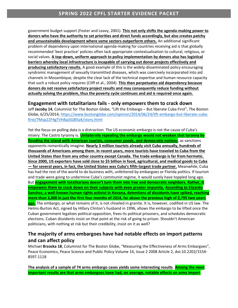government budget support (Foster and Leavy, 2001). **This not only shifts the agenda-making power to donors who have the authority to set priorities and direct funds accordingly, but also creates patchy and unsustainable development where some sectors outperform others.** An additional significant problem of dependency upon international agenda-making for countries receiving aid is that globally recommended 'best practice' policies often lack appropriate contextualisation to cultural, religious, or social values. **A top-down, uniform approach to policy implementation by donors also has logistical barriers whereby local infrastructure is incapable of carrying out donor projects effectively and producing satisfactory results.** A good example of this is the widely-disseminated policy encouraging syndromic management of sexually transmitted diseases, which was coercively incorporated into aid channels in Mozambique, despite the clear lack of the technical expertise and human resource capacity that such a robust policy requires (Cliff et al., 2004). **This then perpetuates aid dependency because donors do not receive satisfactory project results and may consequently reduce funding without actually solving the problem, thus the poverty cycle continues and aid is required once again.**

#### <span id="page-16-0"></span>**Engagement with totalitarians fails - only empowers them to crack down**

Jeff **Jacoby 14**, Columnist for The Boston Globe, "Lift the Embargo – But liberate Cuba First", The Boston Globe, 6/25/2014, [https://www.bostonglobe.com/opinion/2014/06/24/lift-embargo-but-liberate-cuba](https://www.bostonglobe.com/opinion/2014/06/24/lift-embargo-but-liberate-cuba-first/7Msp22F4gTVhBajSG8lSaK/story.html)[first/7Msp22F4gTVhBajSG8lSaK/story.html](https://www.bostonglobe.com/opinion/2014/06/24/lift-embargo-but-liberate-cuba-first/7Msp22F4gTVhBajSG8lSaK/story.html)

Yet the focus on polling data is a distraction. The US economic embargo is not the cause of Cuba's misery. The Castro tyranny is. **Unilaterally repealing the embargo would not weaken that tyranny by flooding the island with American tourists, consumer goods, and democratic notions**, as sanctions opponents romantically imagine. **Nearly 3 million tourists already visit Cuba annually, hundreds of thousands of Americans among them. In recent years, more tourists have traveled to Cuba from the United States than from any other country except Canada. The trade embargo is far from hermetic. Since 2000, US exporters have sold close to \$5 billion in food, agricultural, and medical goods to Cuba — for several years, in fact, the United States was Cuba's fifth-largest trade partner.** Meanwhile, Cuba has had the rest of the world to do business with, unfettered by embargoes or Florida politics. If tourism and trade were going to undermine Cuba's communist regime, it would surely have toppled long ago. But **engagement with totalitarians doesn't turn them into free and democratic neighbors. Rather, it empowers them to crack down on their subjects with even greater impunity. According to Elizardo Sanchez, a well-known human rights activist in Havana, detentions of dissidents have spiked, reaching more than 3,800 in just the first four months of 2014, far above the previous high of 2,795 two years ago.** The embargo, or what remains of it, is not chiseled in granite. It is, however, codified in US law. The Helms-Burton Act, signed by Hillary Clinton's husband in 1996, allows the embargo to be lifted once the Cuban government legalizes political opposition, frees its political prisoners, and schedules democratic elections. Cuban dissidents insist on that point at the risk of going to prison. Shouldn't American politicians, with nothing at risk but their credibility, insist on it as well?

# <span id="page-16-1"></span>**The majority of arms embargoes have had notable effects on import patterns and can affect policy**

Michael **Brzoska 18**, Columnist for The Boston Globe, "Measuring the Effectiveness of Arms Embargoes", Peace Economics, Peace Science and Public Policy Volume 14, Issue 2 2008 Article 2, doi:10.2202/1554- 8597.1118

**The analysis of a sample of 74 arms embargo cases yields some interesting results**. **Among the most important results are that arms embargoes have had, on average, notable effects on arms import**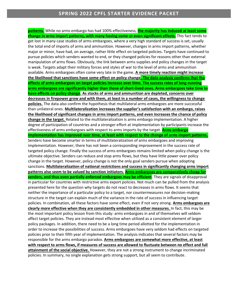**patterns.** While no arms embargo has had 100% effectiveness, **the majority has induced at least some change in arms import patterns, with many having some or even significant effects.** This fact tends to get lost in many case studies of arms embargoes, where a very high standard of success is set, usually the total end of imports of arms and ammunition. However, changes in arms import patterns, whether major or minor, have had, on average, rather little effect on targeted policies. Targets have continued to pursue policies which senders wanted to end, or they changed policies for reasons other than external manipulation of arms flows. Obviously, the link between arms supplies and policy changes in the target is weak. Targets adapt their military forces and styles of war to the level of arms and ammunition available. Arms embargoes often come very late in the game. **A more timely reaction might increase the likelihood that sanctions have some effect on policy change. The data analysis confirms that the effects of arms embargoes on target policies increase over time. The success rates of long-running arms embargoes are significantly higher than those of short-lived ones. Arms embargoes take time to have effects on policy change. As stocks of arms and ammunition are depleted, concerns over decreases in firepower grow and with them, at least in a number of cases, the willingness to change policies.** The data also confirm the hypothesis that multilateral arms embargoes are more successful than unilateral ones. **Multilateralization increases the supplier's satisfaction with an embargo, raises the likelihood of significant changes in arms import patterns, and even increases the chance of policy change in the target.** Related to the multilateralization is arms embargo implementation. A higher degree of participation of countries and a stronger effort at implementation by participants increase the effectiveness of arms embargoes with respect to arms imports by the target. **Arms embargo implementation has improved over time, at least with respect to the change of arms import patterns.** Senders have become smarter in terms of multilateralization of arms embargoes and improving implementation. However, there has not been a corresponding improvement in the success rate of targeted policy change. Finally the success of arms embargoes remains limited when policy change is the ultimate objective. Senders can reduce and stop arms flows, but they have little power over policy change in the target. However, policy change is not the only goal senders pursue when adopting sanctions. **Multilateralization of national restrictions and success in significantly changing arms import patterns also seem to be valued by sanction initiators. Arms embargoes are comparatively cheap for senders, and thus even partially enforced embargoes may be efficient**. They are signals of disapproval in particular for countries with restrictive arms export policies. Not much can be pulled from the analysis presented here for the question why targets do not react to decreases in arms flows. It seems that neither the importance of a particular policy to a target, nor countermeasures nor decision-making structure in the target can explain much of the variance in the rate of success in influencing target policies. In combination, all these factors have some effect, even if not very strong. **Arms embargoes are clearly more effective when they are consistently embedded in other measures.** In fact, this may be the most important policy lesson from this study: arms embargoes in and of themselves will seldom affect target policies. They are instead most effective when utilized as a consistent element of larger policy packages. In addition, there need to be a long time period allotted for the implementation in order to increase the possibilities of success. Arms embargoes have very seldom had effects on targeted policies prior to their fifth year of implementation. The analysis indicates that several factors may be responsible for the arms embargo paradox. **Arms embargoes are somewhat more effective, at least with respect to arms flows, if measures of success are allowed to fluctuate between no effect and full attainment of the social objective.** However, they are not a strong instrument to change incriminated policies. In summary, no single explanation gets strong support, but all seem to contribute.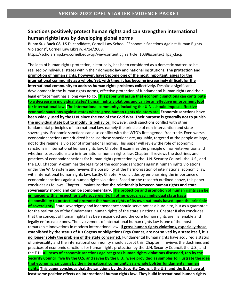#### <span id="page-18-0"></span>**Sanctions positively protect human rights and can strengthen international human rights laws by developing global norms**

Buhm **Suk Baek 08**, J.S.D. candidate, Cornell Law School, "Economic Sanctions Against Human Rights Violations", Cornell Law Library, 4/14/2008,

https://scholarship.law.cornell.edu/cgi/viewcontent.cgi?article=1039&context=lps\_clacp

The idea of human rights protection, historically, has been considered as a domestic matter, to be realized by individual states within their domestic law and national institutions. **The protection and promotion of human rights, however, have become one of the most important issues for the international community as a whole. Yet, with time, it has become increasingly difficult for the international community to address human rights problems collectively.** Despite a significant development in the human rights norms, effective protection of fundamental human rights and their legal enforcement has a long way to go. **This paper will argue that economic sanctions can contribute to a decrease in individual states' human rights violations and can be an effective enforcement tool for international law. The international community, including the U.N., should impose effective economic sanctions against states where gross human rights violators are. Economic sanctions have been widely used by the U.N. since the end of the Cold War. Their purpose is generally not to punish the individual state but to modify its behavior.** However, such sanctions conflict with other fundamental principles of international law, namely the principle of non-intervention and state sovereignty. Economic sanctions can also conflict with the WTO's first agenda: free trade. Even worse, economic sanctions are criticized because these sanctions are, arguably, targeted at the people at large, not to the regime, a violator of international norms. This paper will review the role of economic sanctions in international human rights law. Chapter II examines the principle of non-intervention and whether its exceptions are in international human rights law. Chapter III reviews the doctrines and practices of economic sanctions for human rights protection by the U.N. Security Council, the U.S., and the E.U. Chapter IV examines the legality of the economic sanctions against human rights violations under the WTO system and reviews the possibility of the harmonization of international economic law with international human rights law. Lastly, Chapter V concludes by emphasizing the importance of economic sanctions against human rights violations. Based on the research outlined above, this paper concludes as follows: Chapter II maintains that **the relationship between human rights and state sovereignty should and can be complementary**. **The protection and promotion of human rights can be enhanced with a respect for state sovereignty. In other words, each individual state has a responsibility to protect and promote the human rights of its own nationals based upon the principle of sovereignty.** State sovereignty and independence should serve not as a hurdle to, but as a guarantee for the realization of the fundamental human rights of the state's nationals. Chapter II also concludes that the concept of human rights has been expanded and the core human rights are inalienable and legally enforceable ones. The evolvement of international human rights law is one of the most remarkable innovations in modern international law. **If gross human rights violations, especially those established by the status of Jus Cogens or obligations Erga Omnes, are not solved by a state itself, it is no longer solely the problem of the state concerned.** Fundamental human rights have acquired a status of universality and the international community should accept this. Chapter III reviews the doctrines and practices of economic sanctions for human rights protection by the U.N. Security Council, the U.S., and the E.U. **All cases of economic sanctions against gross human rights violations discussed, ten by the Security Council, five by the U.S. and seven by the E.U., were provided as samples to illustrate the idea that economic sanctions by the international community as a whole bolster fundamental human rights. This paper concludes that the sanctions by the Security Council, the U.S. and the E.U. have at least some positive effects on international human rights law. They build international human rights**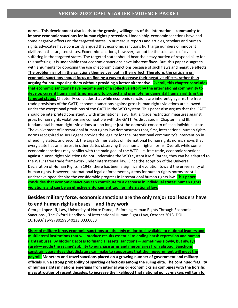**norms. This development also leads to the growing willingness of the international community to impose economic sanctions for human rights protection.** Undeniably, economic sanctions have had some negative effects on the targeted states. In numerous reports and articles, scholars and human rights advocates have constantly argued that economic sanctions hurt large numbers of innocent civilians in the targeted states. Economic sanctions, however, cannot be the sole cause of civilian suffering in the targeted states. The targeted states should bear the heavy burden of responsibility for this suffering. It is undeniable that economic sanctions have inherent flaws. But, this paper disagrees with arguments for opposing the use of economic sanctions because of such flaws and negative effects. **The problem is not in the sanctions themselves, but in their effect. Therefore, the criticism on economic sanctions should focus on finding a way to decrease their negative effects, rather than arguing for not imposing them without providing a better alternative. Overall, this chapter concludes that economic sanctions have become part of a collective effort by the international community to develop current human rights norms and to protect and promote fundamental human rights in the targeted states.** Chapter IV concludes that while economic sanctions are inherently against the free trade provisions of the GATT, economic sanctions against gross human rights violations are allowed under the exceptional provisions of the GATT in the WTO system. This paper also argues that the GATT should be interpreted consistently with international law. That is, trade restriction measures against gross human rights violations are compatible with the GATT. As discussed in Chapter II and III, fundamental human rights violations are no longer just the domestic concern of each individual state. The evolvement of international human rights law demonstrates that, first, international human rights norms recognized as Jus Cogens provide the legality for the international community's intervention in offending states; and second, the Erga Omnes status of international human rights norms shows that every state has an interest in other states observing these human rights norms. Overall, while some economic sanctions may conflict with the main goal of the WTO, i.e. free trade, economic sanctions against human rights violations do not undermine the WTO system itself. Rather, they can be adapted to the WTO's free trade framework under international law. Since the adoption of the Universal Declaration of Human Rights in 1948, there has been a significant evolution toward the universality of human rights. However, international legal enforcement systems for human rights norms are still underdeveloped despite the considerable progress in international human rights law. **This paper concludes that economic sanctions can contribute to a decrease in individual states' human rights violations and can be an effective enforcement tool for international law.**

# <span id="page-19-0"></span>**Besides military force, economic sanctions are the only major tool leaders have to end human rights abuses – and they work**

George **Lopez 13**, Law, University of Notre Dame, "Enforcing Human Rights Through Economic Sanctions", The Oxford Handbook of International Human Rights Law, October 2013, DOI: 10.1093/law/9780199640133.003.0033

**Short of military force, economic sanctions are the only major tool available to national leaders and multilateral institutions that will produce results essential to ending harsh repression and human rights abuses. By blocking access to financial assets, sanctions— sometimes slowly, but always surely—erode the regime's ability to purchase arms and mercenaries from abroad. Sanctions constrain guarantees that dictators can make to supporters that their government will meet the payroll. Monetary and travel sanctions placed on a growing number of government and military officials run a strong probability of sparking defections among the ruling elite. The continued fragility of human rights in nations emerging from internal war or economic crisis combines with the horrific mass atrocities of recent decades, to increase the likelihood that national policy-makers will turn to**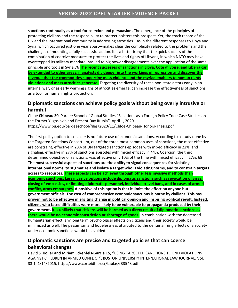**sanctions continually as a tool for coercion and persuasion.** The emergence of the principles of protecting civilians and the responsibility to protect bolsters this prospect. Yet, the track record of the UN and the international community in addressing atrocities—as in the different responses to Libya and Syria, which occurred just one year apart—makes clear the complexity related to the problems and the challenges of mounting a fully successful action. It is a bitter irony that the quick success of the combination of coercive measures to protect the lives and rights of Libyans, in which NATO may have overstepped its military mandate, has led to big power disagreements over the application of the same principle and tools in Syria.76 **The recent successes of sanctions in Libya, Côte d'Ivoire, and Liberia can be extended to other areas, if analysts dig deeper into the workings of repression and discover the revenue that the commodities supporting mass violence and the myriad enablers to human rights violations and mass atrocities generate.** Targeting the diversity of these non-state actors early in an internal war, or as early warning signs of atrocities emerge, can increase the effectiveness of sanctions as a tool for human rights protection.

# <span id="page-20-0"></span>**Diplomatic sanctions can achieve policy goals without being overly intrusive or harmful**

Chloe **Chibeau 20**, Pardee School of Global Studies,"Sanctions as a Foreign Policy Tool: Case Studies on the Former Yugoslavia and Present Day Russia", April 1, 2020,

https://www.bu.edu/pardeeschool/files/2020/11/Chloe-Chibeau-Honors-Thesis.pdf

The first policy option to consider is no future use of economic sanctions. According to a study done by the Targeted Sanctions Consortium, out of the three most common uses of sanctions, the most effective are constraint, effective in 28% of UN targeted sanctions episodes with mixed efficacy in 22%, and signaling, effective in 27% of sanctions episodes with mixed efficacy in 44%. Coercion, the third determined objective of sanctions, was effective only 10% of the time with mixed efficacy in 27%. 68 **The most successful aspects of sanctions are the ability to signal consequences for violating international norms, to stigmatize and isolate a target who is violating norms, and to constrain targets access to resources. These aspects can be achieved through other less invasive methods than economic sanctions. Less invasive options include diplomatic sanctions such as revocation of visas, closing of embassies, or limiting diplomatic personnel, individual travel bans, and in cases of armed conflict, arms embargoes. A positive of this option is that it limits the effect on anyone but government officials. The cost of comprehensive economic sanctions is borne by civilians. This has proven not to be effective in eliciting change in political opinion and inspiring political revolt. Instead, citizens who faced difficulties were more likely to be vulnerable to propaganda produced by their government. It is unlikely that citizens will be harmed as a direct result of diplomatic sanctions as there would be no economic constriction or shortage of goods.** In combination with the decreased humanitarian effect, any long term psychological effects on citizens and their society would be minimized as well. The pessimism and hopelessness attributed to the dehumanizing effects of a society under economic sanctions would be avoided.

# <span id="page-20-1"></span>**Diplomatic sanctions are precise and targeted policies that can coerce behavioral changes**

David S. **Koller and** Miriam **Eckenfels-Garcia 15,** "USING TARGETED SANCTIONS TO END VIOLATIONS AGAINST CHILDREN IN ARMED CONFLICT", BOSTON UNIVERSITY INTERNATIONAL LAW JOURNAL, Vol. 33:1, 1/14/2015, https://www.corteidh.or.cr/tablas/r33548.pdf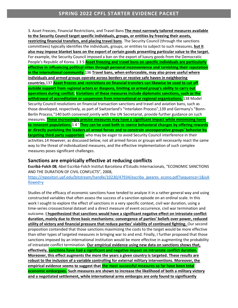3. Asset Freezes, Financial Restrictions, and Travel Bans **The most narrowly tailored measures available to the Security Council target specific individuals, groups, or entities by freezing their assets, restricting financial transfers, and placing travel bans**. The Security Council (through the sanctions committees) typically identifies the individuals, groups, or entities to subject to such measures, **but it also may impose blanket bans on the export of certain goods presenting particular value to the target.** For example, the Security Council imposed a ban on the export of luxury goods from the Democratic People's Republic of Korea. 1 3 5 **Asset freezing and travel bans on specific individuals are particularly effective in influencing political elites through personal inconvenience and tarnishing their reputation in the international community.**136 **Travel bans, when enforceable, may also prove useful where individuals and armed groups operate across borders or receive safe haven in neighboring countries.**137 **Asset freezes and restrictions on financial transfers can likewise be used to cut off outside support from regional actors or diaspora, limiting an armed group's ability to carry out operations during conflict. Variations of these measures include diplomatic sanctions, such as the withdrawal of accreditation or suspension from international or regional organizations.**138 Model Security Council resolutions on financial transaction sanctions and travel and aviation bans, such as those developed, respectively, as part of Switzerland's "Interlaken Process",139 and Germany's "Bonn-Berlin Process,"140 both convened jointly with the UN Secretariat, provide further guidance on such measures. **These increasingly precise measures may have a significant impact while minimizing harm to innocent populations.**1 4 ' **They can be used both to coerce behavioral changes by offering rewards or directly punishing the leaders of armed forces and to constrain uncooperative groups' behavior by targeting third party supporters** who may be eager to avoid Security Council interference in their activities.14 However, as discussed below, not all armed forces or groups will necessarily react the same way to the threat of individualized measures, and the effective implementation of such complex measures poses significant challenges.

#### <span id="page-21-0"></span>**Sanctions are empirically effective at reducing conflicts**

**Escribà-Folch 08***,* Abel Escribà-Folch Institut Barcelona d'Estudis Internacionals, "ECONOMIC SANCTIONS AND THE DURATION OF CIVIL CONFLICTS", 2008,

[https://repositori.upf.edu/bitstream/handle/10230/47934/escriba\\_jpeares\\_econo.pdf?sequence=1&isA](https://repositori.upf.edu/bitstream/handle/10230/47934/escriba_jpeares_econo.pdf?sequence=1&isAllowed=y) [llowed=y](https://repositori.upf.edu/bitstream/handle/10230/47934/escriba_jpeares_econo.pdf?sequence=1&isAllowed=y)

Studies of the efficacy of economic sanctions have tended to analyze it in a rather general way and using constructed variables that often assess the success of a sanction episode on an ordinal scale. In this work I sought to explore the effect of sanctions in a very specific context, civil war duration, using a time-series crosssectional dataset and a direct measure of event occurrence, civil war termination and outcome. **I hypothesized that sanctions would have a significant negative effect on intrastate conflict duration, mainly due to three basic mechanisms: convergence of parties' beliefs over power, reduced utility of victory and financial pressure that reduce parties' viability of continued fighting.** Our second proposition contended that those sanctions maximizing the costs to the target would be more effective than other types of targeted measures in bringing war to and end. Finally, I further proposed that those sanctions imposed by an international institution would be more effective in augmenting the probability of intrastate conflict termination. **Our empirical evidence using new data on sanctions shows that, effectively, sanctions have had a significant and negative impact on intrastate conflict duration. Moreover, this effect augments the more the years a given country is targeted. These results are robust to the inclusion of a variable controlling for external military interventions. Moreover, the empirical evidence seems to suggest that the most successful measures so far have been total economic embargoes. Such measures are shown to increase the likelihood of both a military victory and a negotiated settlement, while international arms embargos are only found to significantly**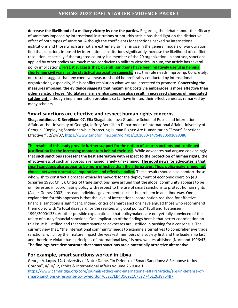**decrease the likelihood of a military victory by one the parties.** Regarding the debate about the efficacy of sanctions imposed by international institutions or not, this article has shed light on the distinctive effect of both types of sanction. Although the coefficients for sanctions backed by international institutions and those which are not are extremely similar in size in the general models of war duration, I find that sanctions imposed by international institutions significantly increase the likelihood of conflict resolution, especially if the targeted country is a member of the 20 organization. In contrast, sanctions applied by other bodies are much more conducive to military victories. In sum, the article has several policy implications**. First, it suggests that, overall, sanctions have been relatively useful in helping shortening civil wars, as the statistical association suggests.** Yet, this role needs improving. Concretely, our results suggest that any coercive measure should be preferably conducted by international organizations, especially, if it is conflict resolution what we are interested to promote. **Concerning the measures imposed, the evidence suggests that maximizing costs via embargoes is more effective than other sanction types. Multilateral arms embargoes can also result in increased chances of negotiated settlement,** although implementation problems so far have limited their effectiveness as remarked by many scholars.

#### <span id="page-22-0"></span>**Smart sanctions are effective and respect human rights concerns**

**Shagabutdinova & Berejikian 07**, Ella Shagabutdinova Graduate School of Public and International Affairs at the University of Georgia, Jeffrey Berejikian Department of International Affairs University of Georgia, "Deploying Sanctions while Protecting Human Rights: Are Humanitarian "Smart" Sanctions Effective?", 2/24/07, <https://www.tandfonline.com/doi/abs/10.1080/14754830601098386>

**The results of this study provide further support for the notion of smart sanctions and continued justification for the increasing momentum behind their use.** While advocates had argued convincingly that **such sanctions represent the best alternative with respect to the protection of human rights,** the effectiveness of such an approach remained largely unexamined. **The good news for advocates is that smart sanctions also appear to be more effective than the alternatives. Thus, policymakers need not choose between normative imperatives and effective policy.** These results should also comfort those who wish to construct a broader ethical framework for the deployment of economic coercion (e.g., Scharfen 1995: Ch. 5). Critics of trade sanctions have argued that the global community appears to be uninterested in coordinating policy with respect to the use of smart sanctions to protect human rights (Aznar-Gomez 2002). Instead, individual governments tackle the problem in an adhoc way. One explanation for this approach is that the level of international coordination required for effective financial sanctions is significant. Indeed, critics of smart sanctions have argued those who recommend them do so with "a total disregard for the realities of global politics" (Bull and Tostensen 1999/2000:133). Another possible explanation is that policymakers are not yet fully convinced of the utility of purely financial sanctions. One implication of the findings here is that better coordination on this issue is justified and that smart sanctions advocates are justified in pushing for a consensus. The current view that, "the international community needs to examine alternatives to comprehensive trade sanctions, which by their nature impact the weakest members of a society first and the leadership last and therefore violate basic principles of international law," is now well-established (Normand 1996:43). **The findings here demonstrate that smart sanctions are a potentially attractive alternative.**

#### <span id="page-22-1"></span>**For example, smart sanctions worked in Libya**

George A. **Lopez 12**, University of Notre Dame, "In Defense of Smart Sanctions: A Response to Joy Gordon", 4/10/12, Ethics & International Affairs Volume 26 Issue 1, [https://www.cambridge.org/core/journals/ethics-and-international-affairs/article/abs/in-defense-of](https://www.cambridge.org/core/journals/ethics-and-international-affairs/article/abs/in-defense-of-smart-sanctions-a-response-to-joy-gordon/6E227EB4D50921C7E9D746E2638754B7)[smart-sanctions-a-response-to-joy-gordon/6E227EB4D50921C7E9D746E2638754B7](https://www.cambridge.org/core/journals/ethics-and-international-affairs/article/abs/in-defense-of-smart-sanctions-a-response-to-joy-gordon/6E227EB4D50921C7E9D746E2638754B7)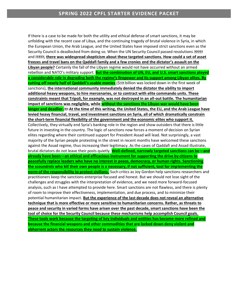If there is a case to be made for both the utility and ethical defense of smart sanctions, it may be unfolding with the recent case of Libya, and the continuing tragedy of brutal violence in Syria, in which the European Union, the Arab League, and the United States have imposed strict sanctions even as the Security Council is deadlocked from doing so. When the UN Security Council passed resolutions EEEE and , **there was widespread skepticism about these targeted sanctions. How could a set of asset freezes and travel bans on the Qaddafi family and a few cronies end the dictator's assault on the Libyan people?** Certainly the fall of the Libyan regime would not have occurred without an armed rebellion and NATO's military support. **But the combination of UN, EU, and U.S. smart sanctions played a considerable role in degrading both the regime's firepower and its support among Libyan elites. By cutting off nearly half of Qaddafi's usable monies** (\$22) billion was locked down in the first week of sanctions), **the international community immediately denied the dictator the ability to import additional heavy weapons, to hire mercenaries, or to contract with elite commando units. These constraints meant that Tripoli, for example, was not destroyed in an all-out battle. The humanitarian impact of sanctions was negligible, while without the sanctions the Libyan war would have been longer and deadlier. At the time of this writing, the United States, the EU, and the Arab League have levied heavy financial, travel, and investment sanctions on Syria, all of which dramatically constrain the short-term financial flexibility of the government and the economic elites who support it.** Collectively, they virtually end Syria's banking role in the region and show outsiders that there is little future in investing in the country. The logic of sanctions now forces a moment of decision on Syrian elites regarding where their continued support for President Assad will lead. Not surprisingly, a vast majority of the Syrian people protesting in the street in recent months have welcomed these sanctions against the Assad regime, thus increasing their legitimacy. As the cases of Qaddafi and Assad illustrate, brutal dictators do not leave their posts quietly. **Well-defined, narrowly targeted sanctions can be—and already have been—an ethical and efficacious instrument for supporting the drive by citizens to peacefully replace leaders who have no interest in peace, democracy, or human rights. Sanctioning the scoundrels who kill their own people is a necessary, if not sufficient, tool for implementing the norm of the responsibility to protect civilians.** Such critics as Joy Gordon help sanctions researchers and practitioners keep the sanctions enterprise focused and honest. But we should not lose sight of the challenges and struggles with the interpretation of evidence, and we need more forward-focused analysis, such as I have attempted to provide here. Smart sanctions are not flawless, and there is plenty of room to improve their effectiveness, implementation, and due process, and to minimize their potential humanitarian impact. **But the experience of the last decade does not reveal an alternative technique that is more effective or more sensitive to humanitarian concerns. Rather, as threats to peace and security in varied forms have arisen over the past decade, smart sanctions have been the tool of choice for the Security Council because these mechanisms help accomplish Council goals. These tools work because the targeting of key individuals and entities has become more refined and because the financial weapons and other commodities that are locked down deny violent and abhorrent actors the resources they need to sustain violence.**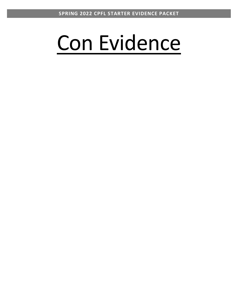# <span id="page-24-0"></span>Con Evidence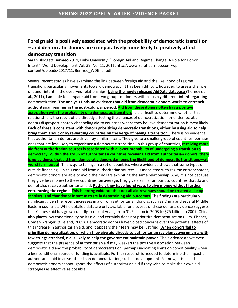# <span id="page-25-0"></span>**Foreign aid is positively associated with the probability of democratic transition – and democratic donors are comparatively more likely to positively affect democracy transition**

Sarah Blodgett **Bermeo 2011**, Duke University, "Foreign Aid and Regime Change: A Role for Donor Intent", World Development Vol. 39, No. 11, 2011, http://www.sarahbermeo.com/wpcontent/uploads/2017/11/Bermeo\_WDfinal.pdf

Several recent studies have examined the link between foreign aid and the likelihood of regime transition, particularly movements toward democracy. It has been difficult, however, to assess the role of donor intent in the observed relationships. **Using the newly released AidData database** (Tierney et al., 2011), I am able to compare aid from two groups of donors with plausibly different intent regarding democratization. **The analysis finds no evidence that aid from democratic donors works to entrench authoritarian regimes in the post-cold war period**. **Aid from these donors often has a positive association with the probability of a democratic transition.** It is difficult to determine whether this relationship is the result of aid directly affecting the chances of democratization, or of democratic donors disproportionately channeling aid to countries where they believe democratization is most likely. **Each of these is consistent with donors prioritizing democratic transitions, either by using aid to help bring them about or by rewarding countries on the verge of having a transition.** There is no evidence that authoritarian donors are driven by similar intent. They give to a smaller group of countries, perhaps ones that are less likely to experience a democratic transition. In this group of countries, **receiving more aid from authoritarian sources is associated with a lower probability of undergoing a transition to democracy. Within the group of authoritarian countries receiving aid from authoritarian donors, there is no evidence that aid from democratic donors dampens the likelihood of democratic transitions—at worst it is neutral**. This is quite telling. In a set of countries where evidence shows that some types of outside financing—in this case aid from authoritarian sources—is associated with regime entrenchment, democratic donors are able to avoid their dollars exhibiting the same relationship. And, it is not because they give less money to these countries: on average, they give a similar amount to countries that do and do not also receive authoritarian aid. **Rather, they have found ways to give money without further entrenching the regime**. **This is strong evidence that not all aid revenues should be treated alike by scholars, and that donor intent matters in determining aid outcomes.** The findings are particularly significant given the recent increases in aid from authoritarian donors, such as China and several Middle Eastern countries. While detailed data are only available for a subset of these donors, evidence suggests that Chinese aid has grown rapidly in recent years, from \$1.5 billion in 2003 to \$25 billion in 2007; China also places low conditionality on its aid, and certainly does not prioritize democratization (Lum, Fischer, Gomez-Granger, & Leland, 2009). Democratic donors have voiced concerns over the potential effects of this increase in authoritarian aid, and it appears their fears may be justified. **When donors fail to prioritize democratization, or when they give aid directly to authoritarian recipient governments with few strings attached, aid is likely to help the government maintain power.** The evidence above even suggests that the presence of authoritarian aid may weaken the positive association between democratic aid and the probability of democratization, perhaps indicating limits on conditionality when a less conditional source of funding is available. Further research is needed to determine the impact of authoritarian aid in areas other than democratization, such as development. For now, it is clear that democratic donors cannot ignore the effects of authoritarian aid if they wish to make their own aid strategies as effective as possible.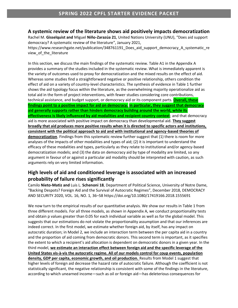#### <span id="page-26-0"></span>**A systemic review of the literature shows aid positively impacts democratization**

Rachel M. **Gisselquist and** Miguel **Niño-Zarazúa 21**, United Nations University (UNU), "Does aid support democracy? A systematic review of the literature", January 2021,

https://www.researchgate.net/publication/348761191 Does aid support democracy A systematic re view of the literature

In this section, we discuss the main findings of the systematic review. Table A1 in the Appendix A provides a summary of the studies included in the systematic review. What is immediately apparent is the variety of outcomes used to proxy for democratization and the mixed results on the effect of aid. Whereas some studies find a straightforward negative or positive relationship, others condition the effect of aid on a variety of country-level characteristics. The synthesis of evidence in Table 1 further shows the aid typology focus within the literature, as the overwhelming majority operationalize aid as total aid in the form of project interventions, with fewer studies considering core contributions, technical assistance, and budget support, or democracy aid or its component parts. **Overall, these findings point to a positive impact for aid on democracy. In particular, they suggest that democracy aid generally supports rather than hinders democracy building around the world, while its effectiveness is likely influenced by aid modalities and recipient country context**; and that democracy aid is more associated with positive impact on democracy than developmental aid. **They suggest broadly that aid produces more positive results when it is directed to specific actors and institutions, consistent with the political approach to aid and with institutional and agency-based theories of democratization**. Findings from this systematic review further suggest that (1) there is room for more analyses of the impacts of other modalities and types of aid; (2) it is important to understand the efficacy of these modalities and types, particularly as they relate to institutional and/or agency-based democratization models; and (3) the data on democracy aid by type of modality are limited, so any argument in favour of or against a particular aid modality should be interpreted with caution, as such arguments rely on very limited information.

#### <span id="page-26-1"></span>**High levels of aid and conditioned leverage is associated with an increased probability of failure rises significantly**

Camilo **Nieto-Matiz and** Luis L. **Schenoni 18**, Department of Political Science, University of Notre Dame, "Backing Despots? Foreign Aid and the Survival of Autocratic Regimes", December 2018, DEMOCRACY AND SECURITY 2020, VOL. 16, NO. 1, 36–58 https://doi.org/10.1080/17419166.2018.1555691

We now turn to the empirical results of our quantitative analysis. We show our results in Table 1 from three different models. For all three models, as shown in Appendix A, we conduct proportionality tests and obtain p values greater than 0.05 for each individual variable as well as for the global model. This suggests that our estimations do not violate the proportionality assumption and that our inferences are indeed correct. In the first model, we estimate whether foreign aid, by itself, has any impact on autocratic duration; in Model 2, we include an interaction term between the per capita aid in a country and the proportion of aid coming from democratic donors. This second term is important, as it specifies the extent to which a recipient's aid allocation is dependent on democratic donors in a given year. In the third model, **we estimate an interaction effect between foreign aid and the specific leverage of the United States vis-à-vis the autocratic regime. All of our models control for coup events, population density, GDP per capita, economic growth, and oil production.** Results from Model 1 suggest that higher levels of foreign aid decrease the hazard rate of autocratic failure. Although the coefficient is not statistically significant, the negative relationship is consistent with some of the findings in the literature, according to which unearned income—such as oil or foreign aid—has deleterious consequences for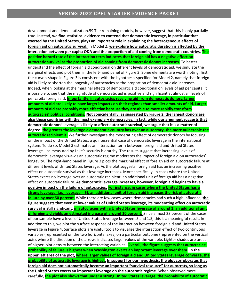development and democratization.59 The remaining models, however, suggest that this is only partially true. Instead, **we find statistical evidence to contend that democratic leverage, in particular that exerted by the United States, plays an important role in explaining the heterogeneous effects of foreign aid on autocratic survival.** In Model 2, **we explore how autocratic duration is affected by the interaction between per capita ODA and the proportion of aid coming from democratic countries. The positive hazard rate of the interaction term indicates that foreign aid has a negative effect on autocratic survival as the proportion of aid coming from democratic donors increases.** To better understand the effect of foreign aid conditional on different levels of democratic aid, we simulate the marginal effects and plot them in the left-hand panel of Figure 3. Some elements are worth noting: first, the curve's shape in Figure 3 is consistent with the hypothesis specified for Model 2, namely that foreign aid is likely to shorten the longevity of autocracies as the proportion of democratic aid increases. Indeed, when looking at the marginal effects of democratic aid conditional on levels of aid per capita, it is possible to see that the magnitude of democratic aid is positive and significant at almost all levels of per capita foreign aid. **Importantly, in autocracies receiving aid from democratic donors, larger amounts of aid are likely to have larger impacts on their regimes than smaller amounts of aid. Larger amounts of aid are probably more effective because they are able to more rapidly transform autocracies' political conditions. Not coincidentally, as suggested by Figure 2, the largest donors are also those countries with the most exemplary democracies. In fact, while our argument suggests that democratic donors' leverage is likely to affect autocratic survival, we argue that it is a matter of degree: the greater the leverage a democratic country has over an autocracy, the more vulnerable the autocratic recipient is.** We further investigate the moderating effect of democratic donors by focusing on the impact of the United States, a quintessential case of democratic leverage in the international system. To do so, Model 3 estimates an interaction term between foreign aid and United States leverage—as measured by Lake's security hierarchy. The results suggest that increasing levels of democratic leverage vis-à-vis an autocratic regime moderates the impact of foreign aid on autocracies' longevity. The right-hand panel in Figure 3 plots the marginal effect of foreign aid on autocratic failure at different levels of United States leverage. As the plot suggests, foreign aid has an increasing positive effect on autocratic survival as this leverage increases. More specifically, in cases where the United States exerts no leverage over an autocratic recipient, an additional unit of foreign aid has a negative effect on autocratic failure. **As democratic leverage increases, however, foreign aid begins to have a positive impact on the failure of autocracies. For instance, in cases where the United States has a strong leverage (i.e., leverage = 5), an additional unit of foreign aid increases the risk of autocratic failure by over 50 percent.** While there are few cases where democracies had such a high influence, **the figure suggests that even at lower values of United States leverage, its moderating effect on autocratic survival is still significant**: **in autocracies with a United States leverage of around 1, an additional unit of foreign aid yields an estimated increase of around 10 percent.** Since almost 23 percent of the cases of our sample have a level of United States leverage between .5 and 1.5, this is a meaningful result. In addition to this, we plot the surface response of the interaction between foreign aid and United States leverage in Figure 4. Surface plots are useful tools to visualize the interaction effect of two continuous variables (represented on the two horizontal axes) on a particular outcome (represented on the vertical axis), where the direction of the arrows indicates larger values of the variable. Lighter shades are areas of higher joint density between the interacting variables. **Overall, the figure suggests that autocracies' probability of failure is highest when Washington exerts an important leverage over them**: **in the upper left area of the plot, where larger values of foreign aid and United States leverage converge, the probability of autocratic leverage is highest. In support for our hypothesis, the plot corroborates that foreign aid does not automatically become an important "survival resource" for autocrats, so long as the United States exerts an important leverage on the autocratic regime.** When observed more carefully, **the plot also shows that under a strong United States leverage, the probability of autocratic**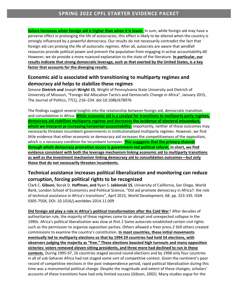**failure increases when foreign aid is higher than when it is lower.** In sum, while foreign aid may have a perverse effect in prolonging the life of autocracies, this effect is likely to be altered when the country is strongly influenced by a powerful democracy. Our results do not necessarily contradict the fact that foreign aid can prolong the life of autocratic regimes. After all, autocrats are aware that windfall resources provide political power and prevent the population from engaging in active accountability.60 However, we do provide a more nuanced explanation to the state of the literature. **In particular, our results indicate that strong democratic leverage, such as that exerted by the United States, is a key factor that accounts for the diverging results.**

# <span id="page-28-0"></span>**Economic aid is associated with transitioning to multiparty regimes and democracy aid helps to stabilize these regimes**

Simone **Dietrich and** Joseph **Wright 15**, Wright of Pennsylvania State University and Dietrich of University of Missouri, "Foreign Aid Allocation Tactics and Democratic Change in Africa", January 2015, The Journal of Politics, 77(1), 216–234. doi:10.1086/678976

The findings suggest several insights into the relationship between foreign aid, democratic transition, and consolidation in Africa. **While economic aid is a catalyst for transitions to multiparty party regimes, democracy aid stabilizes multiparty regimes and decreases the incidence of electoral misconduct,**  which we interpret as increasing horizontal accountability. Importantly, neither of these outcomes may necessarily threaten incumbent governments in institutionalized multiparty regimes. However, we find little evidence that either economic or democracy aid increases the competitiveness of the opposition, which is a necessary condition for incumbent turnover. **This sugggests that the primary channel through which democracy promotion occurs is government-led political reform. In short, we find evidence consistent with both the leverage mechanism linking economic aid to multiparty transitions as well as the investment mechanism linking democracy aid to consolidation outcomes—but only those that do not necessarily threaten incumbents.** 

# <span id="page-28-1"></span>**Technical assistance increases political liberalization and monitoring can reduce corruption, forcing political rights to be recognized**

Clark C. **Gibson**, Barak D. **Hoffman, and** Ryan S. **Jablonski 15**, University of California, San Diego, World Bank, London School of Economics and Political Science, "Did aid promote democracy in Africa?: the role of technical assistance in Africa's transitions", April 2015, World Development, 68. pp. 323-335. ISSN 0305-750X, DOI: 10.1016/j.worlddev.2014.11.009

**Did foreign aid play a role in Africa's political transformation after the Cold War**? After decades of authoritarian rule, the majority of these regimes came to an abrupt and unexpected collapse in the 1990s. Africa's political liberalization was slow at first.1 Some autocrats established certain civil rights such as the permission to organize opposition parties. Others allowed a freer press.2 Still others created commissions to examine the country's constitution. **In most countries, these initial movements eventually led to multiparty elections so that by 1994 29 countries had held 54 elections, with observers judging the majority as "free." These elections boasted high turnouts and many opposition victories: voters removed eleven sitting presidents, and three more had declined to run in these contests.** During 1995-97, 16 countries staged second-round elections and by 1998 only four countries in all of sub-Saharan Africa had not staged some sort of competitive contest. Given the continent's poor record of competitive elections in the post-independence period, rapid political liberalization during this time was a monumental political change. Despite the magnitude and extent of these changes, scholars' accounts of these transitions have had only limited success (Gibson, 2002). Many studies argue for the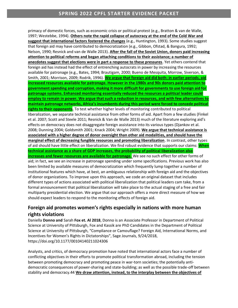primacy of domestic forces, such as economic crisis or political protest (e.g., Bratton & van de Walle, 1997; Westebbe, 1994). **Others note the rapid collapse of autocracy at the end of the Cold War and suggest that international factors fostered the changes** (e.g., Huntington, 1993). Some studies suggest that foreign aid may have contributed to democratization (e.g., Gibbon, Ofstad, & Bangura, 1992; Nelson, 1990; Resnick and van de Walle 2013). **After the fall of the Soviet Union, donors paid increasing attention to political reforms and began attaching conditions to their assistance; a number of anecdotes suggest that elections were in part a response to these pressures**. Yet others contend that foreign aid has instead had the effect of entrenching autocrats in power by increasing the resources available for patronage (e.g., Bates, 1994; Brautigam, 2000; Bueno de Mesquita, Morrow, Siverson, & Smith, 2001; Morrison, 2009; Rodrik, 1996). **We argue that foreign aid did both: in earlier periods, aid increased resources available for patronage. However in the 1980s and 90s donors paid attention to government spending and corruption, making it more difficult for governments to use foreign aid for patronage systems. Enhanced monitoring essentially reduced the resources a political leader could employ to remain in power. We argue that such a reduction in resources, and with few alternatives to maintain patronage networks, Africa's incumbents during this period were forced to concede political rights to their opponents.** To test whether higher levels of monitoring contributed to political liberalization, we separate technical assistance from other forms of aid. Apart from a few studies (Finkel et al. 2007; Scott and Steele 2011; Resnick & Van de Walle 2013) much of the literature exploring aid's effects on democracy does not disaggregate foreign assistance into its various types (Djankov et al. 2008; Dunning 2004; Goldsmith 2001; Knack 2004; Wright 2009). **We argue that technical assistance is associated with a higher degree of donor oversight than other aid modalities, and should have the marginal effect of decreasing fungible resources and promoting liberalization**. In contrast, other types of aid should have little effect on liberalization. We find robust evidence that supports our claims: **When technical assistance as a share of GDP increases, the probability of political liberalization also increases and fewer resources are available for patronage.** We see no such effect for other forms of aid; in fact, we see an increase in patronage spending under some specifications. Previous work has also been limited by available measures of democratization which frequently lump together a number of institutional features which have, at best, an ambiguous relationship with foreign aid and the objectives of donor organizations. To improve upon this approach, we code an original dataset that includes different types of actions associated with political liberalization that political leaders cam take, from a formal announcement that political liberalization will take place to the actual staging of a free and fair multiparty presidential election. We argue that our approach offers a more direct measure of how we should expect leaders to respond to the monitoring effects of foreign aid.

# <span id="page-29-0"></span>**Foreign aid promotes women's rights especially in nations with more human rights violations**

Daniella **Donno and** Sarah **Fox et. Al 2018**, Donno is an Associate Professor in Department of Political Science at University of Pittsburgh, Fox and Kassik are PhD Candidates in the Department of Political Science at University of Pittsburgh, "Compliance or Camouflage? Foreign Aid, International Norms, and Incentives for Women's Rights in Dictatorships", Sage Journals, 9/24/2018, https://doi.org/10.1177/00104140211024306

Analysts, and critics, of democracy promotion have noted that international actors face a number of conflicting objectives in their efforts to promote political transformation abroad, including the tension between promoting democracy and promoting peace in war-torn societies; the potentially antidemocratic consequences of power-sharing and state-building; as well as the possible trade-off between stability and democracy.44 **We draw attention, instead, to the interplay between the objectives of**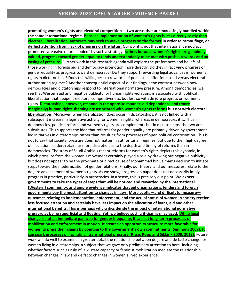**promoting women's rights and electoral competition—-two areas that are increasingly bundled within the same international regime. Because implementation of women's rights is less directly costly than electoral liberalization, autocrats may seek to make progress on the former in order to camouflage, or deflect attention from, lack of progress on the latter.** Our point is not that international democracy promoters are naive or are "fooled" by such a strategy; **rather, because women's rights are genuinely valued, progress toward gender equality tends understandably to be met with praise, rewards and an easing of pressure.** Further work in this research agenda will explore the preferences and beliefs of those working in foreign aid and democracy promotion more directly. Do they in fact view progress on gender equality as progress toward democracy? Do they support rewarding legal advances in women's rights in dictatorships? Does this willingness to reward—-if present—-differ for closed versus electoral authoritarian regimes? Another consequential aspect of our findings is the contrast between how democracies and dictatorships respond to international normative pressure. Among democracies, we see that Western aid and negative publicity for human rights violations is associated with political liberalization that deepens electoral competitiveness, but less so with de jure progress on women's rights. **Dictatorships, however, respond in the opposite manner: aid dependence and (more marginally) human rights shaming are associated with women's rights reforms but not with electoral liberalization**. Moreover, when liberalization does occur in dictatorships, it is not linked with a subsequent increase in legislative activity for women's rights, whereas in democracies it is. Thus, in democracies, political reform and women's rights are complements but in dictatorships, the two are substitutes. This supports the idea that reforms for gender equality are primarily driven by governmentled initiatives in dictatorships rather than resulting from processes of open political contestation. This is not to say that societal pressure does not matter in authoritarian regimes, but due to their high degree of insulation, leaders retain far more discretion as to the depth and timing of reforms than in democracies. The story of Saudi Arabia's recent reforms for women's rights depicts this dynamic, in which pressure from the women's movement certainly played a role by drawing out negative publicity but does not appear to be the proximate or direct cause of Mohammad bin Salman's decision to initiate steps toward the modernization of gender relations. Finally, our theory, and our measures, relate to the de jure advancement of women's rights. As we show, progress on paper does not necessarily imply progress in practice, particularly in autocracies. In a sense, this is precisely our point. **We expect governments to take the types of steps that will be noticed and rewarded by the international (Western) community, and ample evidence indicates that aid organizations, lenders and foreign governments pay the most attention to changes in laws. More subtle—and difficult to measure outcomes relating to implementation, enforcement, and the actual status of women in society receive less focused attention and certainly have less impact on the allocation of loans, aid and other international benefits. This is perhaps why critics deride the impact of international normative pressure as being superficial and fleeting. Yet, we believe such criticism is misplaced. While legal change is not an immediate panacea for gender inequality, it can set long-term processes of mobilization and enforcement in motion. It creates an opportunity structure more favorable for women to press their claims by pointing to the government's own commitments (Simmons 2009). It can spark processes of "spiraling" transnational pressure (Risse, Ropp and Sikkink 2000, 2013).** Future work will do well to examine in greater detail the relationship between de jure and de facto change for women living in dictatorships–a subject that we gave only preliminary attention to here–including whether factors such as rule of law, state capacity or feminist mobilization mediate the relationship between changes in law and de facto changes in women's lived experience.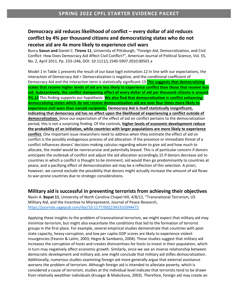# <span id="page-31-0"></span>**Democracy aid reduces likelihood of conflict – every dollar of aid reduces conflict by 4% per thousand citizens and democratizing states who do not receive aid are 4x more likely to experience civil wars**

Burcu **Savun and** Daniel C. **Tirone 11**, University of Pittsburgh, "Foreign Aid, Democratization, and Civil Conflict: How Does Democracy Aid Affect Civil Conflict?", American Journal of Political Science, Vol. 55, No. 2, April 2011, Pp. 233–246, DOI: 10.1111/j.1540-5907.2010.00501.x

Model 1 in Table 1 presents the result of our base logit estimation.12 In line with our expectations, the interaction of Democracy Aid ∗ Democratization is negative, and the conditional coefficient of Democracy Aid and the interaction term is statistically significant.13 **This suggests that democratizing states that receive higher levels of aid are less likely to experience conflict than those that receive less aid. Substantively, the conflict-dampening effect of every dollar of aid per thousand citizens is around 4%.14** This finding supports our hypothesis. **We also find that democratization is conflict enhancing: democratizing states which do not receive democratization aid are over four times more likely to experience civil wars than nonaid recipients. Democracy Aid is itself statistically insignificant, indicating that democracy aid has no effect upon the likelihood of experiencing a conflict outside of democratization.** Since our expectation of the effect of aid on conflict pertains to the democratization period, this is not a surprising finding. Of the controls, **higher levels of economic development reduce the probability of an initiation, while countries with larger populations are more likely to experience conflict.** One important issue researchers need to address when they estimate the effect of aid on conflict is the possibly endogenous process of aid allocation. If the presence or immediate threat of a conflict influences donors' decision-making calculus regarding whom to give aid and how much to allocate, the model would be nonrecursive and potentially biased. This is of particular concern if donors anticipate the outbreak of conflict and adjust the aid allocation accordingly.15 If donors decrease aid to countries in which a conflict is thought to be imminent, aid would then go predominantly to countries at peace, and a pacifying effect of democratization aid may be a reflection of this selection. A priori, however, we cannot exclude the possibility that donors might actually increase the amount of aid flows to war-prone countries due to strategic considerations.

<span id="page-31-1"></span>**Military aid is successful in preventing terrorists from achieving their objectives** Navin A. **Bapat 11**, University of North Carolina Chapel Hill, 4/8/11, "Transnational Terrorism, US Military Aid, and the Incentive to Misrepresent, Journal of Peace Research, <https://journals.sagepub.com/doi/10.1177/0022343310394472>

Applying these insights to the problem of transnational terrorism, we might expect that military aid may minimize terrorism, but might also exacerbate the conditions that led to the formation of terrorist groups in the first place. For example, several empirical studies demonstrate that countries with poor state capacity, heavy corruption, and low per capita GDP scores are likely to experience violent insurgencies (Fearon & Laitin, 2003; Hegre & Sambanis, 2004). These studies suggest that military aid increases the corruption of hosts and creates disincentives for hosts to invest in their population, which in turn may negatively affect economic growth. Similarly, since we see an inverse relationship between democratic development and military aid, one might conclude that military aid stifles democratization. Additionally, numerous studies examining foreign aid more generally argue that external assistance worsens the problem of terrorism. Although foreign aid is intended to alleviate poverty, which is considered a cause of terrorism, studies at the individual level indicate that terrorists tend to be drawn from relatively wealthier individuals (Kruegar & Maleckova, 2003). Therefore, foreign aid may create an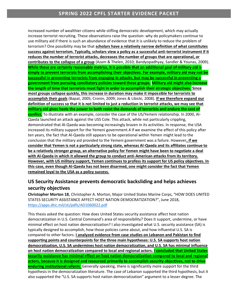increased number of wealthier citizens while stifling democratic development, which may actually increase terrorist recruiting. These observations raise the question: why do policymakers continue to use military aid if there is such an abundance of evidence that it is unlikely to reduce the problem of terrorism? One possibility may be that **scholars have a relatively narrow definition of what constitutes success against terrorism. Typically, scholars view a policy as a successful anti-terrorist instrument if it reduces the number of terrorist attacks, decreases the number of groups that are operational, or contributes to the collapse of a group** (Azam & Thelen, 2010; Bandyopadhyay, Sandler & Younas, 2009). **While these are certainly reasonable metrics, it is possible that an additional goal of military aid is simply to prevent terrorists from accomplishing their objectives. For example, military aid may not be successful in preventing terrorists from engaging in attacks, but may be successful in preventing a government from pursuing conciliatory policies toward these groups. Military aid might also increase the length of time that terrorists must fight in order to accomplish their strategic objectives. Since most groups collapse quickly, this increase in duration may make it impossible for terrorists to accomplish their goals** (Bapat, 2005; Cronin, 2009; Jones & Libicki, 2008). **If we therefore expand our definition of success so that it is not limited to just a reduction in terrorist attacks, we may see that military aid gives hosts the power to both resist the demands of terrorists and endure the cost of conflict.** To illustrate with an example, consider the case of the US/Yemeni relationship. In 2000, Al-Qaeda launched an attack against the USS Cole. This attack, while not particularly crippling, demonstrated that Al-Qaeda was becoming increasingly brazen in its activities. In response, the USA increased its military support for the Yemeni government.4 If we examine the effect of this policy after ten years, the fact that Al-Qaeda still appears to be operational within Yemen might lead to the conclusion that the military aid provided to the Yemeni government was a failure. However**, if we consider that Yemen is not a particularly strong state, whereas Al-Qaeda and its affiliates continue to be a relatively stronger group, an alternative policy for Yemen might have been to negotiate a deal with Al-Qaeda in which it allowed the group to conduct anti-American attacks from its territory. However, with US military support, Yemen continues to profess its support for US policy objectives. In this case, even though Al-Qaeda has not been disarmed, one might consider the fact that Yemen remained loyal to the USA as a policy success.**

# <span id="page-32-0"></span>**US Security Assistance prevents democratic backsliding and helps achieves security objectives**

**Christopher Morton 18**, Christopher A. Morton, Major United States Marine Corps, "HOW DOES UNITED STATES SECURITY ASSISTANCE AFFECT HOST NATION DEMOCRATIZATION?", June 2018, <https://apps.dtic.mil/sti/pdfs/AD1060022.pdf>

This thesis asked the question: How does United States security assistance affect host nation democratization in U.S. Central Command's area of responsibility? Does it support, undermine, or have minimal effect on host nation democratization? I also investigated what U.S. security assistance (SA) is typically designed to accomplish, how those policies came about, and how influential U.S. SA is compared to other factors. **I analyzed evidence from case studies on Lebanon and Pakistan to find supporting points and counterpoints for the three main hypotheses: U.S. SA supports host nation democratization, U.S. SA undermines host nation democratization, and U.S. SA has minimal influence on host nation democratization compared to local and regional actors. I concluded that United States security assistance has minimal effect on host nation democratization compared to local and regional actors, because it is designed and resourced primarily to accomplish security objectives, not to drive enduring institutional reform.** Generally speaking, there is significantly more support for the third hypothesis in the democratization literature. The case of Lebanon supported the third hypothesis, but it also supported the "U.S. SA supports host nation democratization" argument to a lesser degree. The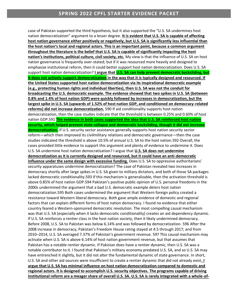case of Pakistan supported the third hypothesis, but it also supported the "U.S. SA undermines host nation democratization" argument to a lesser degree. **It is evident that U.S. SA is capable of affecting host nation governance either positively or negatively, but U.S. SA is significantly less influential than the host nation's local and regional actors. This is an important point, because a common argument throughout the literature is the belief that U.S. SA is capable of significantly impacting the host nation's institutions, political culture, civil society, etc.** My view is that the influence of U.S. SA on host nation governance is frequently over-stated; but if it was resourced more heavily and designed to emphasize institutional reform, then it could better support host nation democratization. Does U.S. SA support host nation democratization? **I argue that U.S. SA can help prevent democratic backsliding, but it does not actively support democratization in the way that it is typically designed and resourced. If the United States supported host nation democratization via its inspirational democratic example (e.g., protecting human rights and individual liberties), then U.S. SA was not the conduit for broadcasting the U.S. democratic example. The evidence showed that two spikes in U.S. SA (between 0.8% and 1.4% of host nation GDP) were quickly followed by increases in democratization, but the largest spike in U.S. SA (upwards of 1.52% of host nation GDP, and conditioned on democracy-related reforms) did not increase democratization.** 590 If aid conditionality supports host nation democratization, then the case studies indicate that the threshold is between 0.25% and 0.60% of host nation GDP.591 **The evidence in both cases supported the idea that U.S. SA reinforced host nation security, which helped prevent state collapse and democratic backsliding, though it did not increase democratization.** If U.S. security sector assistance generally supports host nation security sector reform—which then improved its civilmilitary relations and democratic governance—then the case studies indicated the threshold is above 10.5% of annual U.S. SA to the host nation.592 Overall, the cases provided little evidence to support this argument and plenty of evidence to undermine it. Does U.S. SA undermine host nation democratization? I argue that **U.S. SA does not undermine democratization as it is currently designed and resourced, but it could have an anti-democratic influence under the same design with excessive funding.** Does U.S. SA to oppressive authoritarians' security apparatuses undermine democratization? The case of Pakistan revealed two increases in democracy shortly after large spikes in U.S. SA given to military dictators, and both of those SA packages lacked democratic conditionality.593 If this mechanism is generalizable, then the activation threshold is above 0.85% of host nation GDP.594 Pakistan's positive public opinion of U.S. personal freedoms in the 2000s undermined the argument that a bad U.S. democratic example deters host nation democratization.595 Both cases undermined the argument that Western foreign policy created a resistance toward Western liberal democracy. Both gave ample evidence of domestic and regional factors that can explain different forms of host nation democracy. I found no evidence that either country feared a Western-sponsored democratic revolution. The most compelling causal mechanism was that U.S. SA (especially when it lacks democratic conditionality) creates an aid dependency dynamic. If U.S. SA reinforces a rentier class in the host nation society, then it likely undermined democracy. Before 2008, U.S. SA to Pakistan was below 6.14% and was followed by democratization. 596 After the 2008 increase in democracy, Pakistan's Freedom House rating stayed at 4.5 through 2017; and from 2010–2014, U.S. SA averaged 7.37% of Pakistan's government revenue. 597 This causal mechanism may activate when U.S. SA is above 6.14% of host nation government revenue, but that assumes that Pakistan has a notable rentier dynamic. If Pakistan does have a rentier dynamic, then U.S. SA was a notable contributor to it. I found that Pakistan's military economy predated U.S. SA, and so U.S. SA may have entrenched it slightly, but it did not alter the fundamental dynamic of state governance. In short, U.S. SA and other aid sources were insufficient to create a rentier dynamic that did not already exist**. I argue that U.S. SA has minimal influence on host nation democratization compared to domestic and regional actors. It is designed to accomplish U.S. security objectives. The programs capable of driving institutional reform are a meager share of overall U.S. SA. U.S. SA is rarely integrated with a whole-of-**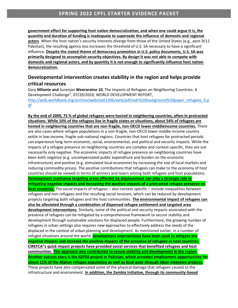**government effort for supporting host nation democratization, and when one could argue it is, the quantity and duration of funding is inadequate to supersede the influence of domestic and regional actors**. When the host nation's security interests diverge from those of the United States (e.g., post-9/11 Pakistan), the resulting agency loss increases the threshold of U.S. SA necessary to have a significant influence. **Despite the stated theme of democracy promotion in U.S. policy documents, U.S. SA was primarily designed to accomplish security objectives. By design it was not able to compete with domestic and regional actors, and by quantity it is not enough to significantly influence host nation democratization.**

### <span id="page-34-0"></span>**Developmental intervention creates stability in the region and helps provide critical resources**

Gary **Milante and** Suranjan **Weeraratne 10**, The Impacts of Refugees on Neighboring Countries: A Development Challenge", 07/29/2010, WORLD DEVELOPMENT REPORT, [http://web.worldbank.org/archive/website01306/web/pdf/wdr%20background%20paper\\_refugees\\_0.p](http://web.worldbank.org/archive/website01306/web/pdf/wdr%20background%20paper_refugees_0.pdf) [df](http://web.worldbank.org/archive/website01306/web/pdf/wdr%20background%20paper_refugees_0.pdf)

**By the end of 2009, 75 % of global refugees were hosted in neighboring countries, often in protracted situations. While 10% of the refugees live in fragile states or situations, about 54% of refugees are hosted in neighboring countries that are non-fragile, non-OECD lower middleincome countries.** There are also cases where refugee populations in a non-fragile, non-OECD lower middle-income country settle in low-income, fragile sub-national regions. Countries that host refugees for protracted periods can experience long-term economic, social, environmental, and political and security impacts. While the impacts of a refugee presence on neighboring countries are complex and context-specific, they are not necessarily only negative. The economic impacts of refugee presence on neighboring countries have been both negative (e.g. uncompensated public expenditure and burden on the economic infrastructure) and positive (e.g. stimulated local economies by increasing the size of local markets and reducing commodity prices). The positive contributions that refugees can make to the economy of host countries should be viewed in terms of winners and losers among both refugees and host populations. **Development assistance targeting areas affected by displacement can play a strategic role in mitigating negative impacts and increasing the positive impacts of a protracted refugee presence on host countries.** The social impacts of refugees – also context-specific – include inequalities between refugees and non-refugees and the resulting social tensions, which can be reduced by development projects targeting both refugees and the host communities. **The environmental impact of refugees can also be alleviated through a combination of dispersed refugee settlement and targeted area development interventions.** Similarly, some of the political and security impacts associated with the presence of refugees can be mitigated by a comprehensive framework to secure stability and development through sustainable solutions for displaced people. Furthermore, the growing number of refugees in urban settings also requires new approaches to effectively address the needs of the displaced in the context of urban planning and development. As mentioned earlier, in a number of refugee situations around the world, **development interventions have been used to mitigate the negative impacts and increase the positive impacts of the presence of refugees in host countries. CIREFCA"s quick impact projects have provided social services that benefited refugees and host communities. This approach also contributed to secure stability and development in the region. Another success story is the IGPRA project in Pakistan, which provided employment opportunities for about 11% of the Afghan refugee population as well as local poor through labor-intensive projects.** These projects have also compensated some of the physical damage that refugees caused to the infrastructure and environment. **In addition, the Zambia Initiative, through its community-based**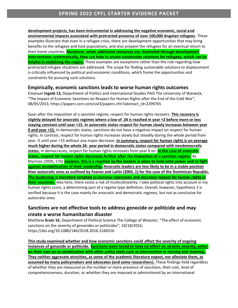**development projects, has been instrumental in addressing the negative economic, social and environmental impacts associated with protracted presence of over 100,000 Angolan refugees**. These examples illustrate that even in a refugee crisis, there are development opportunities that may bring benefits to the refugees and host populations, and also prepare the refugees for an eventual return to their home countries. **Moreover, when additional resources are channeled through development interventions systematically, they can help to create sustainable solutions for refugees, which can be helpful in stabilizing the region.** These examples are exceptions rather than the rule regarding how protracted refugee situations are addressed. The scope for finding sustainable solutions to displacement is critically influenced by political and economic conditions, which frame the opportunities and constraints for pursuing such solutions.

#### <span id="page-35-0"></span>**Empirically, economic sanctions leads to worse human rights outcomes**

Emanuel **Ingold 13,** Department of Politics and International Studies PAIS The University of Warwick, "The Impact of Economic Sanctions on Respect for Human Rights after the End of the Cold War", 08/05/2013, https://papers.ssrn.com/sol3/papers.cfm?abstract\_id=2299765

Soon after the imposition of a sanction regime, respect for human rights recovers. **This recovery is slightly delayed for anocratic regimes where a low of .34 is reached in year +2 before more or less staying constant until year +15. In autocratic states respect for human slowly increases between year 0 and year +15.** In democratic states, sanctions do not have a negative impact on respect for human rights. In contrast, respect for human rights increases slowly but steadily during the whole period from year -5 until year +15 without any major decrease. **In summary, respect for human rights is on average much higher during the whole 26- year period in democratic states compared with nondemocratic states.** In democracies, respect for human rights increases from year 0 on. **In the case of anocratic states, respect for human rights decreases further after the imposition of a sanction regime.** As Marinov (2005, 576) **explains, this is a reaction by the leaders in place to hold onto power and to fight against destabilization of their leadership. Anocratic leaders are less likely to be in a stable position than autocratic ones as outlined by Fearon and Laitin (2005, 1) for the case of the Dominican Republic. The leadership is therefore tempted to increase repression and decrease respect for human rights in their countries.** Also here, there exists a risk of multicolinearity. I take political rights into account in my human rights score, a determining part of a regime type definition. Overall, however, hypothesis 2 is verified because it is the case mainly for anocratic and democratic regimes, but not as conclusive for autocratic ones.

# <span id="page-35-1"></span>**Sanctions are not effective tools to address genocide or politicide and may create a worse humanitarian disaster**

Matthew **Krain 16**, Department of Political Science The College of Wooster, "The effect of economic sanctions on the severity of genocides or politicides", 10/18/2016, https://doi.org/10.1080/14623528.2016.1240516

**This study examined whether and how economic sanctions could affect the severity of ongoing instances of genocide or politicide. Sanctions were found to have no effect on atrocity severity, either on their own on in combination with other policy tools such as intervention or naming and shaming. They neither aggravate atrocities, as some of the academic literature expect, nor alleviate them, as assumed by many policymakers and advocates (and some researchers).** These findings hold regardless of whether they are measured as the number or mere presence of sanctions, their cost, level of comprehensiveness, duration, or whether they are imposed or administered by an international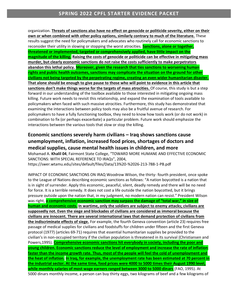organization. **Threats of sanctions also have no effect on genocide or politicide severity, either on their own or when combined with other policy options, similarly contrary to much of the literature.** These results suggest the need for policymakers and advocates who routinely call for economic sanctions to reconsider their utility in slowing or stopping the worst atrocities. **Sanctions, alone or together, threatened or implemented, targeted or comprehensively applied, have little impact on the magnitude of the killing. Raising the costs of genocide or politicide can be effective in mitigating mass murder, but clearly economic sanctions do not raise the costs sufficiently to make perpetrators abandon this lethal policy. Moreover, given the research that ties sanctions to worsening human rights and public health outcomes, sanctions may complicate the situation on the ground for other civilians not being targeted by the perpetrating regime, creating an even wider humanitarian disaster. That alone should be enough to give pause to those who will point to evidence in this article that sanctions don't make things worse for the targets of mass atrocities.** Of course, this study is but a step forward in our understanding of the toolbox available to those interested in mitigating ongoing mass killing. Future work needs to revisit this relationship, and expand the examination of tools available to policymakers when faced with such massive atrocities. Furthermore, this study has demonstrated that examining the interactions between policy tools may also be a fruitful avenue of research. For policymakers to have a fully functioning toolbox, they need to know how tools work (or do not work) in combination to fix (or perhaps exacerbate) a particular problem. Future work should emphasize the interactions between the various tools that slow or stop the killing.

# <span id="page-36-0"></span>**Economic sanctions severely harm civilians – Iraq shows sanctions cause unemployment, inflation, increased food prices, shortages of doctors and medical supplies, cause mental health issues in children, and more**

Mohamad A. **Khalil 04**, Fairmont State College, "TOWARD MORE HUMANE AND EFFECTIVE ECONOMIC SANCTIONS: WITH SPECIAL REFERENCE TO IRAQs", 2004, https://swer.wtamu.edu/sites/default/files/Data/13%20-%2026-213-788-1-PB.pdf

IMPACT OF ECONOMIC SANCTIONS ON IRAQ Woodrow Wilson, the thirty- fourth president, once spoke to the League of Nations describing economic sanctions as follows: "A nation boycotted is a nation that is in sight of surrender. Apply this economic, peaceful, silent, deadly remedy and there will be no need for force. It is a terrible remedy. It does not cost a life outside the nation boycotted, but it brings pressure outside upon the nation that, in my judgment, no modern nation can resist." President Wilson was right, **a comprehensive economic sanction may surpass the damage of "total war," in size of human and economic costs. In wartime, only the soldiers are subject to enemy attacks; civilians are supposedly not. Even the siege and blockades of civilians are considered as immoral because the civilians are innocent. There are several international laws that demand protection of civilians from the indiscriminate effects of siege.** For example, the fourth Geneva convention (article 23) requires free passage of medical supplies for civilians and foodstuffs for children under fifteen and the first Geneva protocol (1977) (articles 69-71) requires that essential humanitarian supplies be provided to the civilian's in non-occupied territory if the civilian population is threatened in its survival (Christiansen and Powers,1995). **Comprehensive economic sanctions hit everybody in society, including the poor and young children. Economic sanctions reduce the level of employment and increase the rate of inflation faster than the income growth rate. Thus, most of the people will feel the cold of unemployment and the heat of inflation. In Iraq, for example, the unemployment rate has been estimated at 70 percent in the industrial sector. At the same time, food prices were 4000 to 5000 times their August 1990 level, while monthly salaries of most wage earners ranged between 3000 to 5000 dinars** (FAO, 1995). At 5000 dinars monthly income, a person can buy thirty eggs, two kilograms of beef and a few kilograms of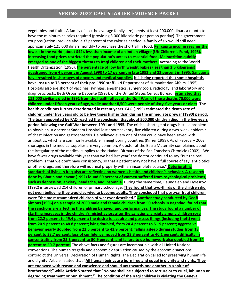vegetables and fruits. A family of six (the average family size) needs at least 200,000 dinars a month to have the minimum calories required (providing 3,000 kilocalorie per person per day). The government coupons (ration) provide about 37 percent of the calories needed; a family of six would still need approximately 125,000 dinars monthly to purchase the shortfall in food. **Per capita income reaches the lowest in the world (about \$44), less than income of an Indian villager (UN Children's Fund, 1993). Increasing food prices restricted the population's access to essential food. Malnutrition quickly emerged as one of the biggest threats to Iraqi children and their mothers.** According to the World Health Organization (1996), **the percentage of low birth weight babies (less than 2.5 kilograms) quadruped from 4 percent in August 1990 to 17 percent in late 1992 and 22 percent in 1995. Sanctions have resulted in shortages of doctors and medical supplies. It is being reported that some hospitals have lost up to 75 percent of their pre-1990 staff** (UN Department of Humanitarian Affairs, 1995). Hospitals also are short of vaccines, syringes, anesthetics, surgery tools, radiology, and laboratory and diagnostic tests. Beth Osborne Daponte (1993), of the United States Census Bureau, **estimated that 111,000 civilians died in 1991 from the health effect of the Gulf War, of these deaths 70,000 were children under fifteen years of age, while another 8,500 were people of sixty-five years or older**. **The health conditions further deteriorated in recent years. FAO (1995) estimated the death rate of children under five years old to be five times higher than during the immediate prewar (1990) period. The team appointed by FAO reached the conclusion that about 500,000 children died in the five years period following the Gulf War between 1991 and 1995.** The critical shortage of drugs is still a problem to physician. A doctor at Saddam Hospital lost about seventy-five children during a two-week epidemic of chest infection and gastroenteritis. He believed every one of then could have been saved with antibiotics, which are commonly available in neighboring countries (Kinzer 1998). As of February 2002, shortages in the medical supplies are very common. A doctor at the Basra Maternity complained about the irregularity of the medical supplies to the Hadani Ditmars of the San Francisco Chronicle (2002), "We have fewer drugs available this year than we had last year" the doctor continued to say "But the real problem is that we don't have consistency, so that a patient may not have a full course of say, antibiotics or other drugs, and therefore will not heal properly with an incomplete course." **Deteriorating standards of living in Iraq also are reflecting on women's health and children's behavior. A research done by Bhatia and Kawar (1992) found 60 percent of women suffered from psychological problems, such as depression, anxiety, headache, and insomnia.** During the same time, Raundalen and Dyresrov (1992) interviewed 214 children of primary school age. **They found that two-thirds of the children did not even believing they would survive to become adults. They concluded that postwar Iraqi children were "the most traumatized children of war ever described." Another study conducted by Geoff Simons (1996) on a sample of 2000 male and female children from 50 schools in Baghdad, found that the sanctions are affecting the children behavior and performances. The study found a number of startling increases in the children's misbehaviors after the sanctions: anxiety among children rose from 22.2 percent to 49.4 percent; the desire to acquire and possess things (including theft) went from 20.9 percent to 48.8 percent; lying doubled, from 24.4 percent to 51.9 percent; aggressive behavior nearly doubled from 22.5 percent to 43.9 percent; falling asleep during studies from 18 percent to 33.7 percent; loss of confidence moved from 23.3 percent to 40.1 percent; difficulty in concentrating from 25.3 percent to 50.9 percent, and failure to do homework also doubled from 24 percent to 50.7 percent.** The above facts and figures are incompatible with all United Nations conventions. The human tragedy and economic deprivation caused by the economic sanctions contradict the Universal Declaration of Human Rights. The Declaration called for preserving human life and dignity. Article I stated that "**All human beings are born free and equal in dignity and rights. They are endowed with reason and conscience and should act towards one another in a spirit of brotherhood;" while Article 5 stated that "No one shall be subjected to torture or to cruel, inhuman or degrading treatment or punishment." The condition of the Iraqi children is violating the Geneva**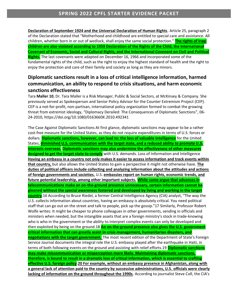**Declaration of September 1924 and the Universal Declaration of Human Rights**. Article 25, paragraph 2 of the Declaration stated that "Motherhood and childhood are entitled to special care and assistance. All children, whether born in or out of wedlock, shall enjoy the same social protection." **The rights of Iraqi children are also violated according to 1959 Declaration of the Rights of the Child, the International Covenant of Economic, Social and Cultural Rights, and the International Covenant on Civil and Political Rights.** The last covenants were adapted on December 16, 1966 and incorporated some of the fundamental rights of the child, such as the right to enjoy the highest standard of health and the right to enjoy the protection and care of their family and society as long as they are minors.

# <span id="page-38-0"></span>**Diplomatic sanctions result in a loss of critical intelligence information, harmed communication, an ability to respond to crisis situations, and harm economic sanctions effectiveness**

Tara **Maller 10**, Dr. Tara Maller is a Risk Manager, Public & Social Sectors, at McKinsey & Company. She previously served as Spokesperson and Senior Policy Advisor for the Counter Extremism Project (CEP). CEP is a not-for-profit, non-partisan, international policy organization formed to combat the growing threat from extremist ideology, "Diplomacy Derailed: The Consequences of Diplomatic Sanctions", 06- 24-2010, https://doi.org/10.1080/0163660X.2010.492341

The Case Against Diplomatic Sanctions At first glance, diplomatic sanctions may appear to be a rather cost-free measure for the United States, as they do not require expenditures in terms of U.S. forces or dollars. **Diplomatic sanctions, however, can lead to: the loss of valuable intelligence** for the United States, **diminished U.S. communication with the target state, and a reduced ability to promote U.S. interests overseas. Diplomatic sanctions may also undermine the effectiveness of other measures**  designed to get the target state to comply with U.S. demands. Loss of Information and Intelligence **Having an embassy in a country not only makes it easier to access information and track events within that country,** but also allows the United States to gain a perspective it might not otherwise have. **The duties of political officers include collecting and analyzing information about the attitudes and actions of foreign governments and societies.** U.S. **embassies report on human rights, economic trends, and future potential leadership, among other important subjects. While some argue that advances in telecommunications make an on-the-ground presence unnecessary, certain information cannot be gleaned without the special awareness fostered and developed by living and working in the target country**.16 According to Bruce Riedel, a former Central Intelligence Agency (CIA) analyst, "The way the U.S. collects information about countries, having an embassy is absolutely critical. You need political staff that can go out on the street and talk to people, pick up the gossip."17 Similarly, Professor Robert Wolfe writes: It might be cheaper to phone colleagues in other governments, sending in officials and ministers when needed, but the intangible assets that are a foreign ministry's stock in trade-knowing who is who in the government or the ability to interpret complex events-can only be developed and then exploited by being on the ground.18 **An on-the-ground presence also gives the U.S. government critical information that can greatly assist in crisis management, humanitarian disasters, and negotiations with the target government.** The most recent edition of the Department of State's Foreign Service Journal documents the integral role the U.S. embassy played after the earthquake in Haiti, in terms of both following events on the ground and assisting with relief efforts.19 **Diplomatic sanctions may make miscommunication or misperception more likely. Maintaining diplomatic sanctions, therefore, is bound to result in a dramatic loss of critical information, which is essential to crafting effective U.S. foreign policy**.**20 For example, without an embassy presence in Afghanistan, along with a general lack of attention paid to the country by successive administrations, U.S. officials were clearly lacking of information on the ground throughout the 1990s**. According to journalist Steve Coll, the CIA's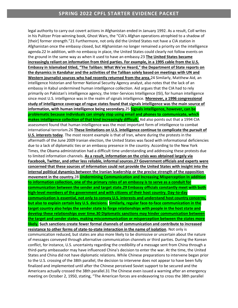legal authority to carry out covert actions in Afghanistan ended in January 1992. As a result, Coll writes in his Pulitzer Prize-winning book, Ghost Wars, the "CIA's Afghan operations atrophied to a shadow of [their] former strength."21 Furthermore, not only did the United States not have a CIA station in Afghanistan once the embassy closed, but Afghanistan no longer remained a priority on the intelligence agenda.22 In addition, with no embassy in place, the United States could clearly not follow events on the ground in the same way as when it used to have an embassy.23 **The United States became increasingly reliant on information from third parties. For example, in a 1995 cable from the U.S. Embassy in Islamabad titled, "The Taliban: What We've Heard," the Department of State reports on the dynamics in Kandahar and the activities of the Taliban solely based on meetings with UN and Western journalist sources who had recently returned from the area.**24 Similarly, Matthew Aid, an intelligence historian and former National Security Agency analyst, also notes that the lack of an embassy in Kabul undermined human intelligence collection. Aid argues that the CIA had to rely primarily on Pakistan's intelligence agency, the Inter-Services Intelligence (ISI), for human intelligence since most U.S. intelligence was in the realm of signals intelligence. **Moreover, a 1996 congressional study of intelligence coverage of rogue states found that signals intelligence was the main source of information, with human intelligence being secondary.**25 **Signals intelligence, however, can be problematic because individuals can simply stop using email and phones to communicate, which makes intelligence collection of that kind increasingly difficult.** Aid also points out that a 1994 CIA assessment found that human intelligence was the most important form of intelligence to combat international terrorism.26 **These limitations on U.S. intelligence continue to complicate the pursuit of U.S. interests today**. The most recent example is that of Iran, where during the protests in the aftermath of the June 2009 Iranian election, the United States was faced with informational deficiencies due to a lack of diplomatic ties or an embassy presence in the country. According to the New York Times, the Obama administration had a difficult time understanding and addressing these protests due to limited information channels. **As a result, information on the crisis was obtained largely via Facebook, Twitter, and other less reliable, informal sources.27 Government officials and experts were concerned that these sources of information could not provide the United States with insight into the internal political dynamics between the Iranian leadership or the precise strength of the opposition movement in the country.**28 **Undermining Communication and Increasing Misperception In addition to information collection, one of the primary roles of an embassy is to serve as a conduit for communication between the sender and target state.29 Embassy officials constantly meet with both high-level members of the government and with citizens of their host country. Day-to-day communication is essential, not only to convey U.S. interests and understand host country concerns, but also to explain certain key U.S. decisions. Similarly, regular face-to-face communication in the target country also helps the sender state to forge relationships with people in the host state and develop these relationships over time.30 Diplomatic sanctions may hinder communication between the target and sender states, making miscommunication or misperception between the states more likely. Such sanctions create fewer formal channels of communication and contribute to increased resistance to other forms of state-to-state interaction in the name of isolation**. Not only is communication reduced, but states are also more likely to be dismissive or uncertain about the nature of messages conveyed through alternative communication channels or third parties. During the Korean conflict, for instance, U.S. uncertainty regarding the credibility of a message sent from China through a third-party ambassador may have influenced China's decision to enter the war. At the time, the United States and China did not have diplomatic relations. While Chinese preparations to intervene began prior to the U.S. crossing of the 38th parallel, the decision to intervene does not appear to have been fully finalized and implemented until after the Chinese perceived Soviet support to be secured and the Americans actually crossed the 38th parallel.31 The Chinese even issued a warning after an emergency meeting on October 2, 1950, stating, "The American forces are endeavoring to cross the 38th parallel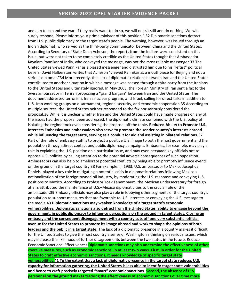and aim to expand the war. If they really want to do so, we will not sit still and do nothing. We will surely respond. Please inform your prime minister of this position." 32 Diplomatic sanctions detract from U.S. public diplomacy to the target state's people. The warning, however, was issued through an Indian diplomat, who served as the third-party communicator between China and the United States. According to Secretary of State Dean Acheson, the reports from the Indians were consistent on this issue, but were not taken to be completely credible as the United States thought that Ambassador Kavalam Pannikar of India, who conveyed the message, was not the most reliable messenger.33 The United States viewed Pannikar as a biased messenger and distrusted him due to his "leftist" political beliefs. David Halberstam writes that Acheson "viewed Pannikar as a mouthpiece for Beijing and not a serious diplomat."34 More recently, the lack of diplomatic relations between Iran and the United States contributed to another situation in which a message was passed through a third party from the Iranians to the United States and ultimately ignored. In May 2003, the Foreign Ministry of Iran sent a fax to the Swiss ambassador in Tehran proposing a "grand bargain" between Iran and the United States. The document addressed terrorism, Iran's nuclear program, and Israel, calling for direct talks in addition to U.S.-Iran working groups on disarmament, regional security, and economic cooperation.35 According to multiple sources, the United States neither responded to the fax nor seriously considered the proposal.36 While it is unclear whether Iran and the United States could have made progress on any of the issues had the proposal been addressed, the diplomatic climate combined with the U.S. policy of isolating the regime took even considering the proposal off the table**. Reduced Ability to Promote U.S. Interests Embassies and ambassadors also serve to promote the sender country's interests abroad while influencing the target state, serving as a conduit for aid and assisting in bilateral relations.**37 Part of the role of embassy staff is to project a positive U.S. image to both the host government and the population through direct contact and public diplomacy campaigns. Embassies, for example, may play a role in explaining the U.S. position on a particular issue, and may even persuade key officials not to oppose U.S. policies by calling attention to the potential adverse consequences of such opposition. Ambassadors can also help to ameliorate potential conflicts by being able to promptly influence events on the ground in the target country.38 For example, in 1933, U.S. ambassador to Mexico Josephus Daniels, played a key role in mitigating a potential crisis in diplomatic relations following Mexico's nationalization of the foreign-owned oil industry, by moderating the U.S. response and conveying U.S. positions to Mexico. According to Professor Yoav Tenembaum, the Mexican undersecretary for foreign affairs attributed the maintenance of U.S.–Mexico diplomatic ties to the crucial role of the ambassador.39 Embassy officials may also play a role in lobbying other segments of the target country's population to support measures that are favorable to U.S. interests or conveying the U.S. message to the media.40 **Diplomatic sanctions may weaken knowledge of a target state's economic vulnerabilities. Diplomatic sanctions also detract from the United States' ability to engage beyond the government, in public diplomacy to influence perceptions on the ground in target states. Closing an embassy and the consequent disengagement with a country cuts off one very substantial official avenue for the United States to promote its image abroad and work to shape the opinions of both leaders and the public in a target state.** The lack of a diplomatic presence in a country makes it difficult for the United States to give the host country a sense of Washington's thinking on various issues, which may increase the likelihood of further disagreements between the two states in the future. Reduce Economic Sanctions' Effectiveness **Diplomatic sanctions may also undermine the effectiveness of other coercive measures, such as economic sanctions, in at least two ways. First, in order for the United States to craft effective economic sanctions, it needs knowledge of specific target state vulnerabilities.41 To the extent that a lack of diplomatic presence in the target state reduces U.S. capacity for information gathering, the United States is less able to identify target state vulnerabilities and hence to craft precisely targeted "smart" economic sanctions**. **Second, the absence of U.S. personnel on the ground makes tracking the effectiveness of economic sanctions over time more**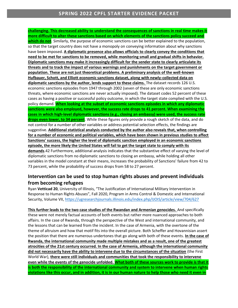**challenging. This decreased ability to understand the consequences of sanctions in real time makes it more difficult to alter these sanctions based on which elements of the sanctions policy succeed and which do not**. Similarly, the purpose of economic sanctions can be better explained to the population, so that the target country does not have a monopoly on conveying information about why sanctions have been imposed. **A diplomatic presence also allows officials to clearly convey the conditions that need to be met for sanctions to be removed, while monitoring small and gradual shifts in behavior. Diplomatic sanctions may make it increasingly difficult for the sender state to clearly articulate its threats and to track the impact of various warnings and punishments on the target government or population. These are not just theoretical problems. A preliminary analysis of the well-known Hufbauer, Schott, and Elliott economic sanctions dataset, along with newly-collected data on diplomatic sanctions by the author, lends support to these claims.** The dataset records 126 U.S. economic sanctions episodes from 1947 through 2002 (seven of these are only economic sanctions threats, where economic sanctions are never actually imposed). The dataset codes 52 percent of these cases as having a positive or successful policy outcome, in which the target state complied with the U.S. policy demand. **When looking at the subset of economic sanctions episodes in which any diplomatic sanctions were also employed, however, the success rate drops to 41 percent. When examining the cases in which high-level diplomatic sanctions (e.g., closing an embassy) were used, the success rate drops even lower, to 34 percent**. While these figures only provide a rough sketch of the data, and do not control for a number of other variables or address potential selection effects, the findings are suggestive. **Additional statistical analysis conducted by the author also reveals that, when controlling for a number of economic and political variables, which have been shown in previous studies to affect Sanctions' success, the higher the level of diplomatic sanction employed in an economic sanctions episode, the more likely the United States will fail to get the target state to comply with its demands**.42 Furthermore, additional analysis indicates that the substantive effect of varying the level of diplomatic sanctions from no diplomatic sanctions to closing an embassy, while holding all other variables in the model constant at their means, increases the probability of Sanctions' failure from 42 to 73 percent, while the probability of success drops from 58 to 27 percent.

# <span id="page-41-0"></span>**Intervention can be used to stop human rights abuses and prevent individuals from becoming refugees**

Ryan **Vetticad 20**, University of Illinois, "The Justification of International Military Intervention in Response to Human Rights Abuses", Fall 2020, Program in Arms Control & Domestic and International Security, Volume VII,<https://ugresearchjournals.illinois.edu/index.php/IJOIS/article/view/704/627>

**This further leads to the two case studies of the Rwandan and Armenian genocides.** And specifically these were not merely factual accounts of both events but rather more nuanced approaches to both affairs. In the case of Rwanda, through the perspective of the West and international community, and the lessons that can be learned from the incident. In the case of Armenia, with the overtone of the theme of altruism and how that motif fits into the overall picture. Both Scheffer and Hovannisian assert the position that there are numerous undertones that go along with both of these events. **In the case of Rwanda, the international community made multiple mistakes and as a result, one of the greatest atrocities of the 21st century occurred. In the case of Armenia, although the international community did not necessarily have the ability to intervene due to the circumstances of the situation** (the First World War), **there were still individuals and communities that took the responsibility to intervene even while the events of the genocide unfolded. What both of these sources work to provide is that it is both the responsibility of the international community and system to intervene when human rights violations like this occur, and in addition, it is in our human nature to help those who need it even in**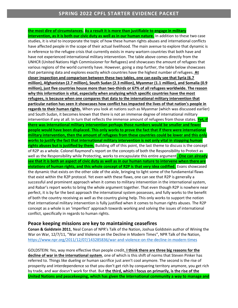**the most dire of circumstances. As a result it is more than justifiable to engage in military intervention, as it is both our civic duty as well as in our human nature.** In addition to these two case studies, it is vital to incorporate the topic of how these human rights abuses and international conflicts have affected people in the scope of their actual livelihood. The main avenue to explore that dynamic is in reference to the refugee crisis that currently exists in many wartorn countries that both have and have not experienced international military intervention. The table above comes directly from the UNHCR (United Nations High Commissioner for Refugees) and showcases the amount of refugees that various regions of the world currently have. However, going a step further, the table below showcases that pertaining data and explores exactly which countries have the highest number of refugees. **At closer inspection and comparison between these two tables, one can easily see that Syria (6.7 million), Afghanistan (2.7 million), South Sudan (2.3 million), Myanmar (1.1 million), and Somalia (0.9 million), just five countries house more than two-thirds or 67% of all refugees worldwide. The reason why this information is vital, especially when analyzing which specific countries have the most refugees, is because when one compares that data to the international military intervention that particular nation has seen it showcases how conflict has impacted the lives of that nation's people in regards to their human rights.** When you look at nations such as Myanmar (which was discussed earlier) and South Sudan, it becomes known that there is not an immense degree of international military intervention if any at all. In turn that reflects the immense amount of refugees from those states. **Yet, if there was international military intervention perhaps those numbers would be smaller and fewer people would have been displaced. This only works to prove the fact that if there were international military intervention, then the amount of refugees from these countries could be lower and this only works to justify the fact that international military intervention is not only vital in stopping human rights abuses but is justified by them.** Building off of this point, the last theme to discuss is the concept of R2P as a whole. Colonel Raymond's report on the concepts of both the Responsibility to Protect as well as the Responsibility while Protecting, works to encapsulate this entire argument**. One can already see that it is both an aspect of civic duty as well as in our human nature to intervene when there are violations of human rights, and this whole concept of R2P is that very idea codified.** Evans showcased the dynamic that exists on the other side of the aisle, bringing to light some of the fundamental flaws that exist within the R2P protocol. Yet even with these flaws, one can see that R2P is generally a successful and prominent approach when it comes to military intervention in the international system, and Rabar's report works to bring the whole argument together. That even though R2P is nowhere near perfect, it is by far the best approach the international system possesses, and fully works to the benefit of both the country receiving as well as the country giving help. This only works to support the notion that international military intervention is fully justified when it comes to human rights abuses. The R2P concept as a whole is an 'imperfect' approach towards working and solving the issues of international conflict, specifically in regards to human rights.

#### <span id="page-42-0"></span>**Peace keeping missions are key to maintaining ceasefires**

**Conan & Goldstein 2011**, Neal Conan of NPR's Talk of the Nation, Joshua Goldstein author of Wining the War on War, 12/7/11, "War and Violence on the Decline in Modern Times", NPR Talk of the Nation, <https://www.npr.org/2011/12/07/143285836/war-and-violence-on-the-decline-in-modern-times>

GOLDSTEIN: Yes, way more effective than people credit**. I think there are three big reasons for the decline of war in the international system**, one of which is this shift of norms that Steven Pinker has referred to. Things like dueling or human sacrifice just aren't cool anymore. The second is the rise of prosperity and interdependence so that you don't get rich by conquering territory anymore, you get rich by trade, and war doesn't work for that. But **the third, which I focus on primarily, is the rise of the United Nations and peacekeeping, which has given the international community a way to manage and**